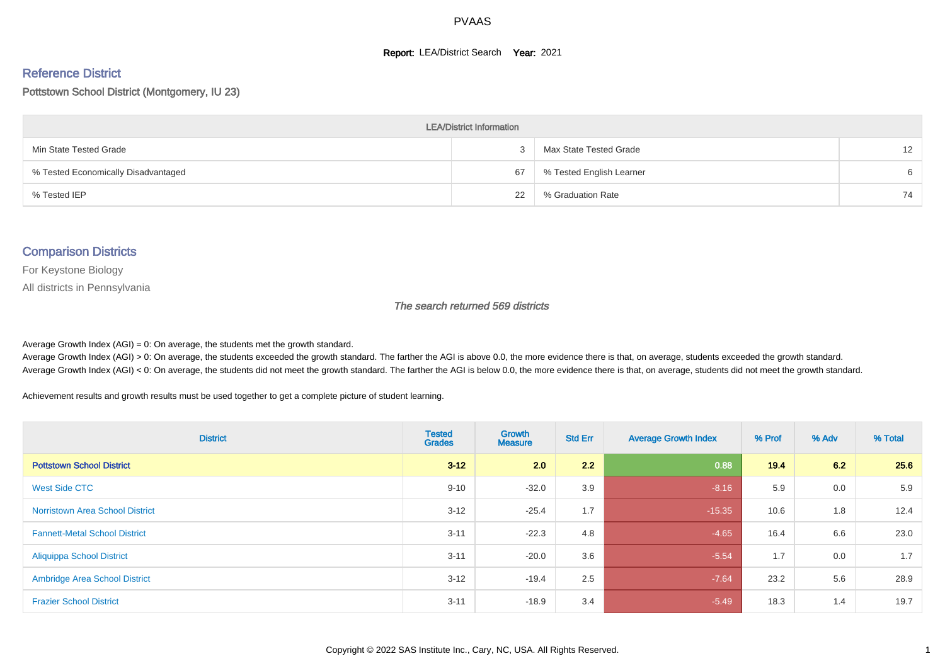#### **Report: LEA/District Search Year: 2021**

#### Reference District

Pottstown School District (Montgomery, IU 23)

| <b>LEA/District Information</b>     |    |                          |                   |  |  |  |  |  |  |
|-------------------------------------|----|--------------------------|-------------------|--|--|--|--|--|--|
| Min State Tested Grade              |    | Max State Tested Grade   | $12 \overline{ }$ |  |  |  |  |  |  |
| % Tested Economically Disadvantaged | 67 | % Tested English Learner | 6                 |  |  |  |  |  |  |
| % Tested IEP                        | 22 | % Graduation Rate        | 74                |  |  |  |  |  |  |

#### Comparison Districts

For Keystone Biology

All districts in Pennsylvania

The search returned 569 districts

Average Growth Index  $(AGI) = 0$ : On average, the students met the growth standard.

Average Growth Index (AGI) > 0: On average, the students exceeded the growth standard. The farther the AGI is above 0.0, the more evidence there is that, on average, students exceeded the growth standard. Average Growth Index (AGI) < 0: On average, the students did not meet the growth standard. The farther the AGI is below 0.0, the more evidence there is that, on average, students did not meet the growth standard.

Achievement results and growth results must be used together to get a complete picture of student learning.

| <b>District</b>                        | <b>Tested</b><br><b>Grades</b> | Growth<br><b>Measure</b> | <b>Std Err</b> | <b>Average Growth Index</b> | % Prof | % Adv | % Total |
|----------------------------------------|--------------------------------|--------------------------|----------------|-----------------------------|--------|-------|---------|
| <b>Pottstown School District</b>       | $3 - 12$                       | 2.0                      | 2.2            | 0.88                        | 19.4   | 6.2   | 25.6    |
| West Side CTC                          | $9 - 10$                       | $-32.0$                  | 3.9            | $-8.16$                     | 5.9    | 0.0   | 5.9     |
| <b>Norristown Area School District</b> | $3 - 12$                       | $-25.4$                  | 1.7            | $-15.35$                    | 10.6   | 1.8   | 12.4    |
| <b>Fannett-Metal School District</b>   | $3 - 11$                       | $-22.3$                  | 4.8            | $-4.65$                     | 16.4   | 6.6   | 23.0    |
| <b>Aliquippa School District</b>       | $3 - 11$                       | $-20.0$                  | 3.6            | $-5.54$                     | 1.7    | 0.0   | 1.7     |
| <b>Ambridge Area School District</b>   | $3 - 12$                       | $-19.4$                  | 2.5            | $-7.64$                     | 23.2   | 5.6   | 28.9    |
| <b>Frazier School District</b>         | $3 - 11$                       | $-18.9$                  | 3.4            | $-5.49$                     | 18.3   | 1.4   | 19.7    |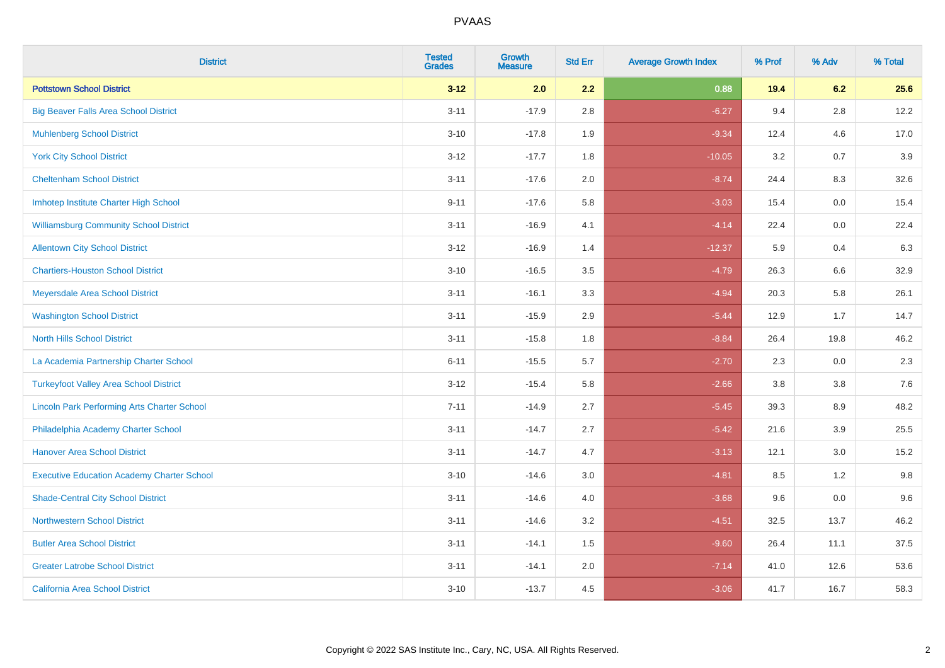| <b>District</b>                                    | <b>Tested</b><br><b>Grades</b> | Growth<br><b>Measure</b> | <b>Std Err</b> | <b>Average Growth Index</b> | % Prof | % Adv   | % Total |
|----------------------------------------------------|--------------------------------|--------------------------|----------------|-----------------------------|--------|---------|---------|
| <b>Pottstown School District</b>                   | $3 - 12$                       | 2.0                      | 2.2            | 0.88                        | 19.4   | 6.2     | 25.6    |
| <b>Big Beaver Falls Area School District</b>       | $3 - 11$                       | $-17.9$                  | 2.8            | $-6.27$                     | 9.4    | 2.8     | 12.2    |
| <b>Muhlenberg School District</b>                  | $3 - 10$                       | $-17.8$                  | 1.9            | $-9.34$                     | 12.4   | 4.6     | 17.0    |
| <b>York City School District</b>                   | $3 - 12$                       | $-17.7$                  | 1.8            | $-10.05$                    | 3.2    | 0.7     | 3.9     |
| <b>Cheltenham School District</b>                  | $3 - 11$                       | $-17.6$                  | 2.0            | $-8.74$                     | 24.4   | 8.3     | 32.6    |
| Imhotep Institute Charter High School              | $9 - 11$                       | $-17.6$                  | 5.8            | $-3.03$                     | 15.4   | 0.0     | 15.4    |
| <b>Williamsburg Community School District</b>      | $3 - 11$                       | $-16.9$                  | 4.1            | $-4.14$                     | 22.4   | 0.0     | 22.4    |
| <b>Allentown City School District</b>              | $3 - 12$                       | $-16.9$                  | 1.4            | $-12.37$                    | 5.9    | 0.4     | 6.3     |
| <b>Chartiers-Houston School District</b>           | $3 - 10$                       | $-16.5$                  | 3.5            | $-4.79$                     | 26.3   | 6.6     | 32.9    |
| Meyersdale Area School District                    | $3 - 11$                       | $-16.1$                  | 3.3            | $-4.94$                     | 20.3   | 5.8     | 26.1    |
| <b>Washington School District</b>                  | $3 - 11$                       | $-15.9$                  | 2.9            | $-5.44$                     | 12.9   | 1.7     | 14.7    |
| <b>North Hills School District</b>                 | $3 - 11$                       | $-15.8$                  | 1.8            | $-8.84$                     | 26.4   | 19.8    | 46.2    |
| La Academia Partnership Charter School             | $6 - 11$                       | $-15.5$                  | 5.7            | $-2.70$                     | 2.3    | 0.0     | 2.3     |
| <b>Turkeyfoot Valley Area School District</b>      | $3 - 12$                       | $-15.4$                  | 5.8            | $-2.66$                     | 3.8    | $3.8\,$ | 7.6     |
| <b>Lincoln Park Performing Arts Charter School</b> | $7 - 11$                       | $-14.9$                  | 2.7            | $-5.45$                     | 39.3   | 8.9     | 48.2    |
| Philadelphia Academy Charter School                | $3 - 11$                       | $-14.7$                  | 2.7            | $-5.42$                     | 21.6   | 3.9     | 25.5    |
| <b>Hanover Area School District</b>                | $3 - 11$                       | $-14.7$                  | 4.7            | $-3.13$                     | 12.1   | 3.0     | 15.2    |
| <b>Executive Education Academy Charter School</b>  | $3 - 10$                       | $-14.6$                  | 3.0            | $-4.81$                     | 8.5    | 1.2     | 9.8     |
| <b>Shade-Central City School District</b>          | $3 - 11$                       | $-14.6$                  | 4.0            | $-3.68$                     | 9.6    | 0.0     | 9.6     |
| <b>Northwestern School District</b>                | $3 - 11$                       | $-14.6$                  | 3.2            | $-4.51$                     | 32.5   | 13.7    | 46.2    |
| <b>Butler Area School District</b>                 | $3 - 11$                       | $-14.1$                  | 1.5            | $-9.60$                     | 26.4   | 11.1    | 37.5    |
| <b>Greater Latrobe School District</b>             | $3 - 11$                       | $-14.1$                  | 2.0            | $-7.14$                     | 41.0   | 12.6    | 53.6    |
| <b>California Area School District</b>             | $3 - 10$                       | $-13.7$                  | 4.5            | $-3.06$                     | 41.7   | 16.7    | 58.3    |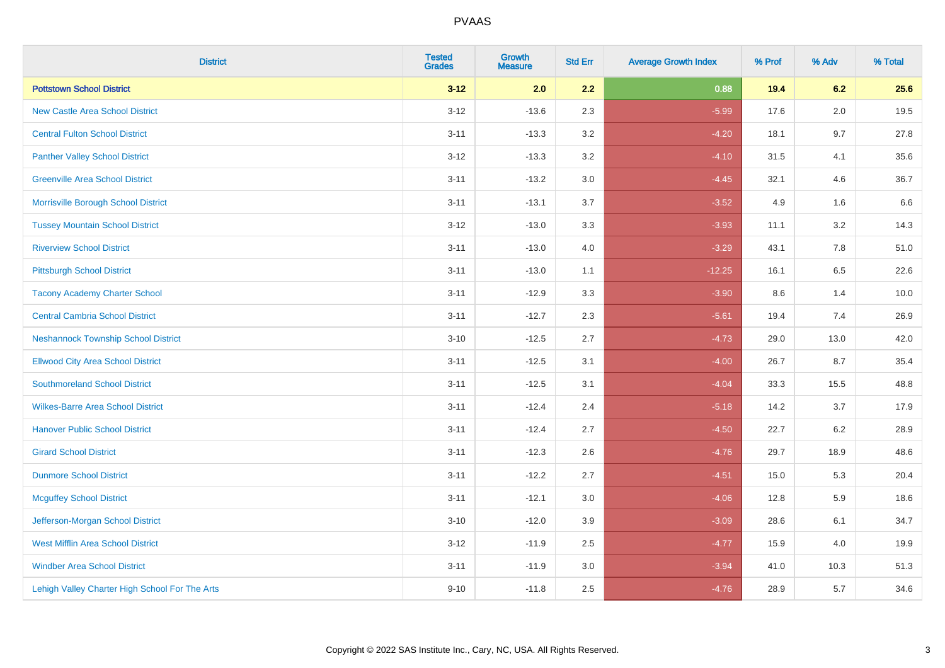| <b>District</b>                                | <b>Tested</b><br><b>Grades</b> | Growth<br><b>Measure</b> | <b>Std Err</b> | <b>Average Growth Index</b> | % Prof | % Adv   | % Total |
|------------------------------------------------|--------------------------------|--------------------------|----------------|-----------------------------|--------|---------|---------|
| <b>Pottstown School District</b>               | $3 - 12$                       | 2.0                      | 2.2            | 0.88                        | 19.4   | 6.2     | 25.6    |
| <b>New Castle Area School District</b>         | $3 - 12$                       | $-13.6$                  | 2.3            | $-5.99$                     | 17.6   | 2.0     | 19.5    |
| <b>Central Fulton School District</b>          | $3 - 11$                       | $-13.3$                  | 3.2            | $-4.20$                     | 18.1   | 9.7     | 27.8    |
| <b>Panther Valley School District</b>          | $3 - 12$                       | $-13.3$                  | $3.2\,$        | $-4.10$                     | 31.5   | 4.1     | 35.6    |
| <b>Greenville Area School District</b>         | $3 - 11$                       | $-13.2$                  | 3.0            | $-4.45$                     | 32.1   | 4.6     | 36.7    |
| Morrisville Borough School District            | $3 - 11$                       | $-13.1$                  | 3.7            | $-3.52$                     | 4.9    | 1.6     | 6.6     |
| <b>Tussey Mountain School District</b>         | $3 - 12$                       | $-13.0$                  | 3.3            | $-3.93$                     | 11.1   | $3.2\,$ | 14.3    |
| <b>Riverview School District</b>               | $3 - 11$                       | $-13.0$                  | 4.0            | $-3.29$                     | 43.1   | 7.8     | 51.0    |
| <b>Pittsburgh School District</b>              | $3 - 11$                       | $-13.0$                  | 1.1            | $-12.25$                    | 16.1   | 6.5     | 22.6    |
| <b>Tacony Academy Charter School</b>           | $3 - 11$                       | $-12.9$                  | 3.3            | $-3.90$                     | 8.6    | 1.4     | 10.0    |
| <b>Central Cambria School District</b>         | $3 - 11$                       | $-12.7$                  | 2.3            | $-5.61$                     | 19.4   | 7.4     | 26.9    |
| <b>Neshannock Township School District</b>     | $3 - 10$                       | $-12.5$                  | 2.7            | $-4.73$                     | 29.0   | 13.0    | 42.0    |
| <b>Ellwood City Area School District</b>       | $3 - 11$                       | $-12.5$                  | 3.1            | $-4.00$                     | 26.7   | 8.7     | 35.4    |
| <b>Southmoreland School District</b>           | $3 - 11$                       | $-12.5$                  | 3.1            | $-4.04$                     | 33.3   | 15.5    | 48.8    |
| <b>Wilkes-Barre Area School District</b>       | $3 - 11$                       | $-12.4$                  | 2.4            | $-5.18$                     | 14.2   | 3.7     | 17.9    |
| <b>Hanover Public School District</b>          | $3 - 11$                       | $-12.4$                  | 2.7            | $-4.50$                     | 22.7   | 6.2     | 28.9    |
| <b>Girard School District</b>                  | $3 - 11$                       | $-12.3$                  | 2.6            | $-4.76$                     | 29.7   | 18.9    | 48.6    |
| <b>Dunmore School District</b>                 | $3 - 11$                       | $-12.2$                  | 2.7            | $-4.51$                     | 15.0   | 5.3     | 20.4    |
| <b>Mcguffey School District</b>                | $3 - 11$                       | $-12.1$                  | 3.0            | $-4.06$                     | 12.8   | 5.9     | 18.6    |
| Jefferson-Morgan School District               | $3 - 10$                       | $-12.0$                  | 3.9            | $-3.09$                     | 28.6   | 6.1     | 34.7    |
| <b>West Mifflin Area School District</b>       | $3 - 12$                       | $-11.9$                  | 2.5            | $-4.77$                     | 15.9   | 4.0     | 19.9    |
| <b>Windber Area School District</b>            | $3 - 11$                       | $-11.9$                  | 3.0            | $-3.94$                     | 41.0   | 10.3    | 51.3    |
| Lehigh Valley Charter High School For The Arts | $9 - 10$                       | $-11.8$                  | 2.5            | $-4.76$                     | 28.9   | 5.7     | 34.6    |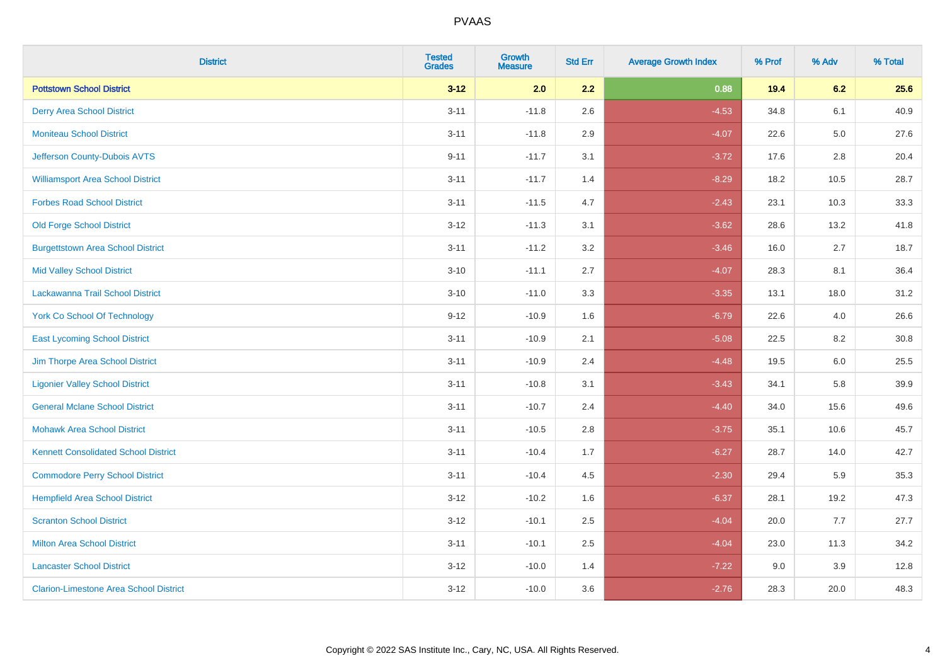| <b>District</b>                               | <b>Tested</b><br><b>Grades</b> | Growth<br><b>Measure</b> | <b>Std Err</b> | <b>Average Growth Index</b> | % Prof | % Adv   | % Total |
|-----------------------------------------------|--------------------------------|--------------------------|----------------|-----------------------------|--------|---------|---------|
| <b>Pottstown School District</b>              | $3 - 12$                       | 2.0                      | 2.2            | 0.88                        | 19.4   | 6.2     | 25.6    |
| <b>Derry Area School District</b>             | $3 - 11$                       | $-11.8$                  | 2.6            | $-4.53$                     | 34.8   | 6.1     | 40.9    |
| <b>Moniteau School District</b>               | $3 - 11$                       | $-11.8$                  | 2.9            | $-4.07$                     | 22.6   | $5.0\,$ | 27.6    |
| Jefferson County-Dubois AVTS                  | $9 - 11$                       | $-11.7$                  | 3.1            | $-3.72$                     | 17.6   | $2.8\,$ | 20.4    |
| <b>Williamsport Area School District</b>      | $3 - 11$                       | $-11.7$                  | 1.4            | $-8.29$                     | 18.2   | 10.5    | 28.7    |
| <b>Forbes Road School District</b>            | $3 - 11$                       | $-11.5$                  | 4.7            | $-2.43$                     | 23.1   | 10.3    | 33.3    |
| <b>Old Forge School District</b>              | $3 - 12$                       | $-11.3$                  | 3.1            | $-3.62$                     | 28.6   | 13.2    | 41.8    |
| <b>Burgettstown Area School District</b>      | $3 - 11$                       | $-11.2$                  | 3.2            | $-3.46$                     | 16.0   | 2.7     | 18.7    |
| <b>Mid Valley School District</b>             | $3 - 10$                       | $-11.1$                  | 2.7            | $-4.07$                     | 28.3   | 8.1     | 36.4    |
| Lackawanna Trail School District              | $3 - 10$                       | $-11.0$                  | 3.3            | $-3.35$                     | 13.1   | 18.0    | 31.2    |
| <b>York Co School Of Technology</b>           | $9 - 12$                       | $-10.9$                  | 1.6            | $-6.79$                     | 22.6   | 4.0     | 26.6    |
| <b>East Lycoming School District</b>          | $3 - 11$                       | $-10.9$                  | 2.1            | $-5.08$                     | 22.5   | 8.2     | 30.8    |
| Jim Thorpe Area School District               | $3 - 11$                       | $-10.9$                  | 2.4            | $-4.48$                     | 19.5   | 6.0     | 25.5    |
| <b>Ligonier Valley School District</b>        | $3 - 11$                       | $-10.8$                  | 3.1            | $-3.43$                     | 34.1   | 5.8     | 39.9    |
| <b>General Mclane School District</b>         | $3 - 11$                       | $-10.7$                  | 2.4            | $-4.40$                     | 34.0   | 15.6    | 49.6    |
| <b>Mohawk Area School District</b>            | $3 - 11$                       | $-10.5$                  | 2.8            | $-3.75$                     | 35.1   | 10.6    | 45.7    |
| <b>Kennett Consolidated School District</b>   | $3 - 11$                       | $-10.4$                  | 1.7            | $-6.27$                     | 28.7   | 14.0    | 42.7    |
| <b>Commodore Perry School District</b>        | $3 - 11$                       | $-10.4$                  | 4.5            | $-2.30$                     | 29.4   | 5.9     | 35.3    |
| <b>Hempfield Area School District</b>         | $3 - 12$                       | $-10.2$                  | 1.6            | $-6.37$                     | 28.1   | 19.2    | 47.3    |
| <b>Scranton School District</b>               | $3-12$                         | $-10.1$                  | 2.5            | $-4.04$                     | 20.0   | 7.7     | 27.7    |
| <b>Milton Area School District</b>            | $3 - 11$                       | $-10.1$                  | 2.5            | $-4.04$                     | 23.0   | 11.3    | 34.2    |
| <b>Lancaster School District</b>              | $3 - 12$                       | $-10.0$                  | 1.4            | $-7.22$                     | 9.0    | 3.9     | 12.8    |
| <b>Clarion-Limestone Area School District</b> | $3-12$                         | $-10.0$                  | 3.6            | $-2.76$                     | 28.3   | 20.0    | 48.3    |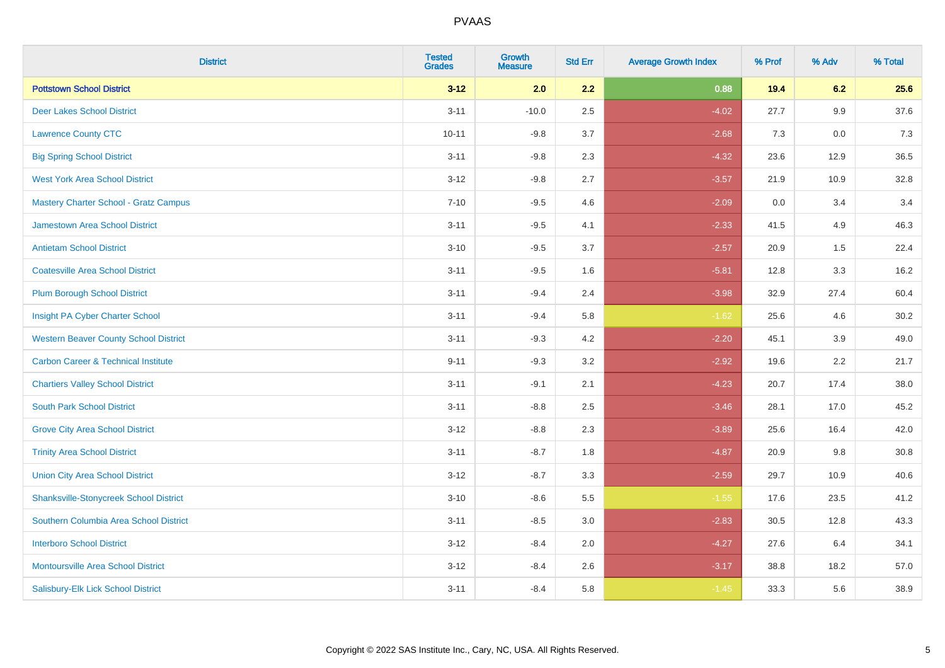| <b>District</b>                                | <b>Tested</b><br><b>Grades</b> | Growth<br><b>Measure</b> | <b>Std Err</b> | <b>Average Growth Index</b> | % Prof | % Adv | % Total |
|------------------------------------------------|--------------------------------|--------------------------|----------------|-----------------------------|--------|-------|---------|
| <b>Pottstown School District</b>               | $3 - 12$                       | 2.0                      | 2.2            | 0.88                        | 19.4   | 6.2   | 25.6    |
| <b>Deer Lakes School District</b>              | $3 - 11$                       | $-10.0$                  | 2.5            | $-4.02$                     | 27.7   | 9.9   | 37.6    |
| <b>Lawrence County CTC</b>                     | $10 - 11$                      | $-9.8$                   | 3.7            | $-2.68$                     | 7.3    | 0.0   | 7.3     |
| <b>Big Spring School District</b>              | $3 - 11$                       | $-9.8$                   | 2.3            | $-4.32$                     | 23.6   | 12.9  | 36.5    |
| <b>West York Area School District</b>          | $3 - 12$                       | $-9.8$                   | 2.7            | $-3.57$                     | 21.9   | 10.9  | 32.8    |
| <b>Mastery Charter School - Gratz Campus</b>   | $7 - 10$                       | $-9.5$                   | 4.6            | $-2.09$                     | 0.0    | 3.4   | 3.4     |
| Jamestown Area School District                 | $3 - 11$                       | $-9.5$                   | 4.1            | $-2.33$                     | 41.5   | 4.9   | 46.3    |
| <b>Antietam School District</b>                | $3 - 10$                       | $-9.5$                   | 3.7            | $-2.57$                     | 20.9   | 1.5   | 22.4    |
| <b>Coatesville Area School District</b>        | $3 - 11$                       | $-9.5$                   | 1.6            | $-5.81$                     | 12.8   | 3.3   | 16.2    |
| <b>Plum Borough School District</b>            | $3 - 11$                       | $-9.4$                   | 2.4            | $-3.98$                     | 32.9   | 27.4  | 60.4    |
| Insight PA Cyber Charter School                | $3 - 11$                       | $-9.4$                   | 5.8            | $-1.62$                     | 25.6   | 4.6   | 30.2    |
| <b>Western Beaver County School District</b>   | $3 - 11$                       | $-9.3$                   | 4.2            | $-2.20$                     | 45.1   | 3.9   | 49.0    |
| <b>Carbon Career &amp; Technical Institute</b> | $9 - 11$                       | $-9.3$                   | 3.2            | $-2.92$                     | 19.6   | 2.2   | 21.7    |
| <b>Chartiers Valley School District</b>        | $3 - 11$                       | $-9.1$                   | 2.1            | $-4.23$                     | 20.7   | 17.4  | 38.0    |
| <b>South Park School District</b>              | $3 - 11$                       | $-8.8$                   | 2.5            | $-3.46$                     | 28.1   | 17.0  | 45.2    |
| <b>Grove City Area School District</b>         | $3 - 12$                       | $-8.8$                   | 2.3            | $-3.89$                     | 25.6   | 16.4  | 42.0    |
| <b>Trinity Area School District</b>            | $3 - 11$                       | $-8.7$                   | 1.8            | $-4.87$                     | 20.9   | 9.8   | 30.8    |
| <b>Union City Area School District</b>         | $3-12$                         | $-8.7$                   | 3.3            | $-2.59$                     | 29.7   | 10.9  | 40.6    |
| <b>Shanksville-Stonycreek School District</b>  | $3 - 10$                       | $-8.6$                   | 5.5            | $-1.55$                     | 17.6   | 23.5  | 41.2    |
| Southern Columbia Area School District         | $3 - 11$                       | $-8.5$                   | 3.0            | $-2.83$                     | 30.5   | 12.8  | 43.3    |
| <b>Interboro School District</b>               | $3 - 12$                       | $-8.4$                   | 2.0            | $-4.27$                     | 27.6   | 6.4   | 34.1    |
| <b>Montoursville Area School District</b>      | $3 - 12$                       | $-8.4$                   | 2.6            | $-3.17$                     | 38.8   | 18.2  | 57.0    |
| Salisbury-Elk Lick School District             | $3 - 11$                       | $-8.4$                   | 5.8            | $-1.45$                     | 33.3   | 5.6   | 38.9    |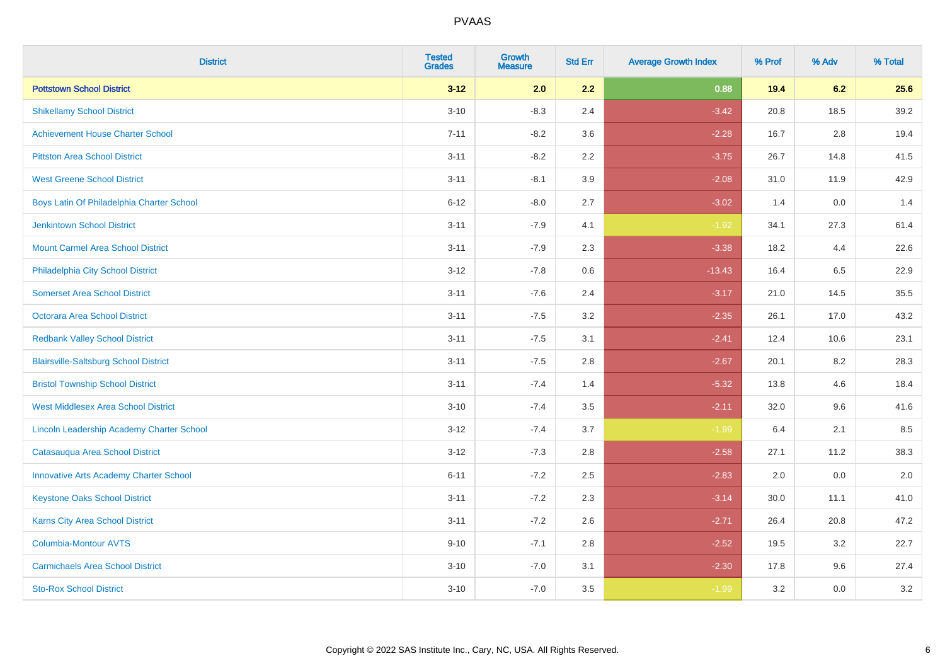| <b>District</b>                               | <b>Tested</b><br><b>Grades</b> | <b>Growth</b><br><b>Measure</b> | <b>Std Err</b> | <b>Average Growth Index</b> | % Prof | % Adv | % Total |
|-----------------------------------------------|--------------------------------|---------------------------------|----------------|-----------------------------|--------|-------|---------|
| <b>Pottstown School District</b>              | $3 - 12$                       | 2.0                             | 2.2            | 0.88                        | 19.4   | 6.2   | 25.6    |
| <b>Shikellamy School District</b>             | $3 - 10$                       | $-8.3$                          | 2.4            | $-3.42$                     | 20.8   | 18.5  | 39.2    |
| <b>Achievement House Charter School</b>       | $7 - 11$                       | $-8.2$                          | 3.6            | $-2.28$                     | 16.7   | 2.8   | 19.4    |
| <b>Pittston Area School District</b>          | $3 - 11$                       | $-8.2$                          | 2.2            | $-3.75$                     | 26.7   | 14.8  | 41.5    |
| <b>West Greene School District</b>            | $3 - 11$                       | $-8.1$                          | 3.9            | $-2.08$                     | 31.0   | 11.9  | 42.9    |
| Boys Latin Of Philadelphia Charter School     | $6 - 12$                       | $-8.0$                          | 2.7            | $-3.02$                     | 1.4    | 0.0   | 1.4     |
| <b>Jenkintown School District</b>             | $3 - 11$                       | $-7.9$                          | 4.1            | $-1.92$                     | 34.1   | 27.3  | 61.4    |
| <b>Mount Carmel Area School District</b>      | $3 - 11$                       | $-7.9$                          | 2.3            | $-3.38$                     | 18.2   | 4.4   | 22.6    |
| Philadelphia City School District             | $3 - 12$                       | $-7.8$                          | 0.6            | $-13.43$                    | 16.4   | 6.5   | 22.9    |
| <b>Somerset Area School District</b>          | $3 - 11$                       | $-7.6$                          | 2.4            | $-3.17$                     | 21.0   | 14.5  | 35.5    |
| Octorara Area School District                 | $3 - 11$                       | $-7.5$                          | 3.2            | $-2.35$                     | 26.1   | 17.0  | 43.2    |
| <b>Redbank Valley School District</b>         | $3 - 11$                       | $-7.5$                          | 3.1            | $-2.41$                     | 12.4   | 10.6  | 23.1    |
| <b>Blairsville-Saltsburg School District</b>  | $3 - 11$                       | $-7.5$                          | 2.8            | $-2.67$                     | 20.1   | 8.2   | 28.3    |
| <b>Bristol Township School District</b>       | $3 - 11$                       | $-7.4$                          | 1.4            | $-5.32$                     | 13.8   | 4.6   | 18.4    |
| <b>West Middlesex Area School District</b>    | $3 - 10$                       | $-7.4$                          | 3.5            | $-2.11$                     | 32.0   | 9.6   | 41.6    |
| Lincoln Leadership Academy Charter School     | $3 - 12$                       | $-7.4$                          | 3.7            | $-1.99$                     | 6.4    | 2.1   | 8.5     |
| Catasauqua Area School District               | $3 - 12$                       | $-7.3$                          | 2.8            | $-2.58$                     | 27.1   | 11.2  | 38.3    |
| <b>Innovative Arts Academy Charter School</b> | $6 - 11$                       | $-7.2$                          | 2.5            | $-2.83$                     | 2.0    | 0.0   | 2.0     |
| <b>Keystone Oaks School District</b>          | $3 - 11$                       | $-7.2$                          | 2.3            | $-3.14$                     | 30.0   | 11.1  | 41.0    |
| Karns City Area School District               | $3 - 11$                       | $-7.2$                          | 2.6            | $-2.71$                     | 26.4   | 20.8  | 47.2    |
| Columbia-Montour AVTS                         | $9 - 10$                       | $-7.1$                          | 2.8            | $-2.52$                     | 19.5   | 3.2   | 22.7    |
| <b>Carmichaels Area School District</b>       | $3 - 10$                       | $-7.0$                          | 3.1            | $-2.30$                     | 17.8   | 9.6   | 27.4    |
| <b>Sto-Rox School District</b>                | $3 - 10$                       | $-7.0$                          | 3.5            | $-1.99$                     | 3.2    | 0.0   | 3.2     |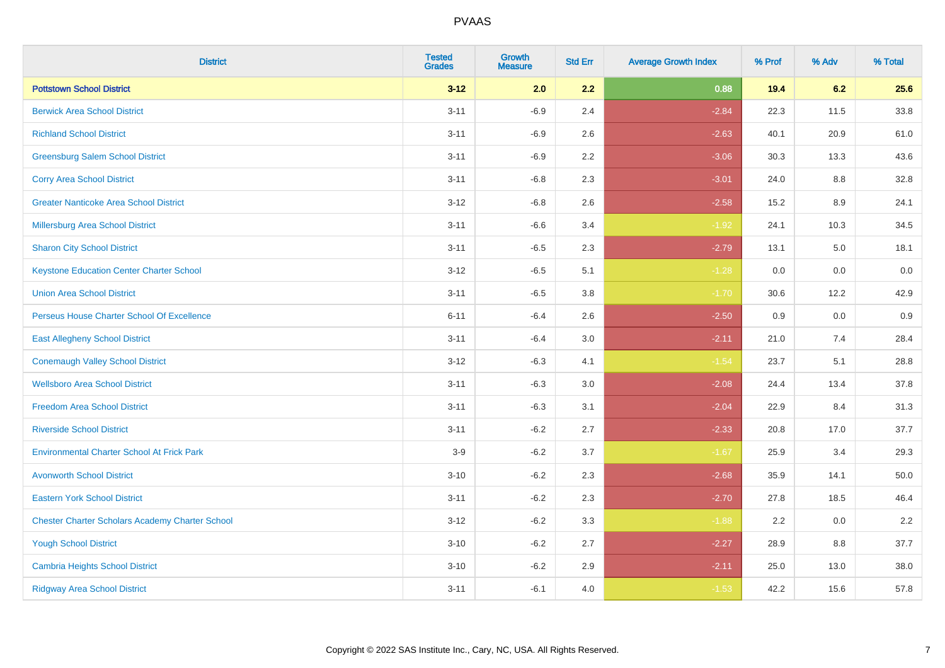| <b>District</b>                                        | <b>Tested</b><br><b>Grades</b> | <b>Growth</b><br><b>Measure</b> | <b>Std Err</b> | <b>Average Growth Index</b> | % Prof | % Adv | % Total |
|--------------------------------------------------------|--------------------------------|---------------------------------|----------------|-----------------------------|--------|-------|---------|
| <b>Pottstown School District</b>                       | $3 - 12$                       | 2.0                             | 2.2            | 0.88                        | 19.4   | 6.2   | 25.6    |
| <b>Berwick Area School District</b>                    | $3 - 11$                       | $-6.9$                          | 2.4            | $-2.84$                     | 22.3   | 11.5  | 33.8    |
| <b>Richland School District</b>                        | $3 - 11$                       | $-6.9$                          | 2.6            | $-2.63$                     | 40.1   | 20.9  | 61.0    |
| <b>Greensburg Salem School District</b>                | $3 - 11$                       | $-6.9$                          | 2.2            | $-3.06$                     | 30.3   | 13.3  | 43.6    |
| <b>Corry Area School District</b>                      | $3 - 11$                       | $-6.8$                          | 2.3            | $-3.01$                     | 24.0   | 8.8   | 32.8    |
| <b>Greater Nanticoke Area School District</b>          | $3 - 12$                       | $-6.8$                          | 2.6            | $-2.58$                     | 15.2   | 8.9   | 24.1    |
| Millersburg Area School District                       | $3 - 11$                       | $-6.6$                          | 3.4            | $-1.92$                     | 24.1   | 10.3  | 34.5    |
| <b>Sharon City School District</b>                     | $3 - 11$                       | $-6.5$                          | 2.3            | $-2.79$                     | 13.1   | 5.0   | 18.1    |
| <b>Keystone Education Center Charter School</b>        | $3 - 12$                       | $-6.5$                          | 5.1            | $-1.28$                     | 0.0    | 0.0   | 0.0     |
| <b>Union Area School District</b>                      | $3 - 11$                       | $-6.5$                          | 3.8            | $-1.70$                     | 30.6   | 12.2  | 42.9    |
| Perseus House Charter School Of Excellence             | $6 - 11$                       | $-6.4$                          | 2.6            | $-2.50$                     | 0.9    | 0.0   | 0.9     |
| <b>East Allegheny School District</b>                  | $3 - 11$                       | $-6.4$                          | 3.0            | $-2.11$                     | 21.0   | 7.4   | 28.4    |
| <b>Conemaugh Valley School District</b>                | $3 - 12$                       | $-6.3$                          | 4.1            | $-1.54$                     | 23.7   | 5.1   | 28.8    |
| <b>Wellsboro Area School District</b>                  | $3 - 11$                       | $-6.3$                          | 3.0            | $-2.08$                     | 24.4   | 13.4  | 37.8    |
| <b>Freedom Area School District</b>                    | $3 - 11$                       | $-6.3$                          | 3.1            | $-2.04$                     | 22.9   | 8.4   | 31.3    |
| <b>Riverside School District</b>                       | $3 - 11$                       | $-6.2$                          | 2.7            | $-2.33$                     | 20.8   | 17.0  | 37.7    |
| <b>Environmental Charter School At Frick Park</b>      | $3-9$                          | $-6.2$                          | 3.7            | $-1.67$                     | 25.9   | 3.4   | 29.3    |
| <b>Avonworth School District</b>                       | $3 - 10$                       | $-6.2$                          | 2.3            | $-2.68$                     | 35.9   | 14.1  | 50.0    |
| <b>Eastern York School District</b>                    | $3 - 11$                       | $-6.2$                          | 2.3            | $-2.70$                     | 27.8   | 18.5  | 46.4    |
| <b>Chester Charter Scholars Academy Charter School</b> | $3 - 12$                       | $-6.2$                          | 3.3            | $-1.88$                     | 2.2    | 0.0   | 2.2     |
| <b>Yough School District</b>                           | $3 - 10$                       | $-6.2$                          | 2.7            | $-2.27$                     | 28.9   | 8.8   | 37.7    |
| <b>Cambria Heights School District</b>                 | $3 - 10$                       | $-6.2$                          | 2.9            | $-2.11$                     | 25.0   | 13.0  | 38.0    |
| <b>Ridgway Area School District</b>                    | $3 - 11$                       | $-6.1$                          | 4.0            | $-1.53$                     | 42.2   | 15.6  | 57.8    |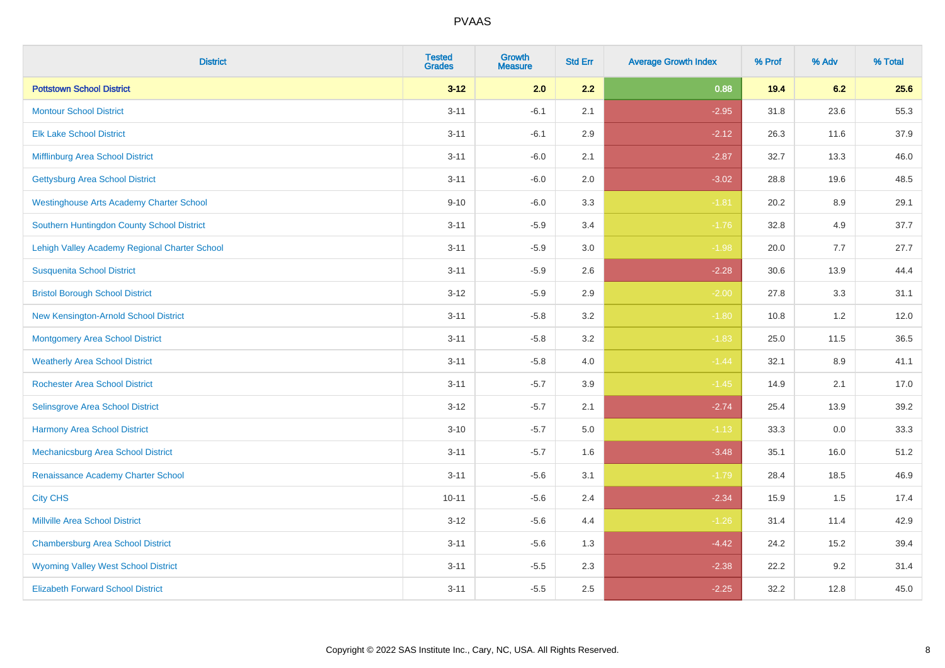| <b>District</b>                                 | <b>Tested</b><br><b>Grades</b> | <b>Growth</b><br><b>Measure</b> | <b>Std Err</b> | <b>Average Growth Index</b> | % Prof | % Adv | % Total |
|-------------------------------------------------|--------------------------------|---------------------------------|----------------|-----------------------------|--------|-------|---------|
| <b>Pottstown School District</b>                | $3 - 12$                       | 2.0                             | 2.2            | 0.88                        | 19.4   | 6.2   | 25.6    |
| <b>Montour School District</b>                  | $3 - 11$                       | $-6.1$                          | 2.1            | $-2.95$                     | 31.8   | 23.6  | 55.3    |
| <b>Elk Lake School District</b>                 | $3 - 11$                       | $-6.1$                          | 2.9            | $-2.12$                     | 26.3   | 11.6  | 37.9    |
| Mifflinburg Area School District                | $3 - 11$                       | $-6.0$                          | 2.1            | $-2.87$                     | 32.7   | 13.3  | 46.0    |
| <b>Gettysburg Area School District</b>          | $3 - 11$                       | $-6.0$                          | 2.0            | $-3.02$                     | 28.8   | 19.6  | 48.5    |
| <b>Westinghouse Arts Academy Charter School</b> | $9 - 10$                       | $-6.0$                          | 3.3            | $-1.81$                     | 20.2   | 8.9   | 29.1    |
| Southern Huntingdon County School District      | $3 - 11$                       | $-5.9$                          | 3.4            | $-1.76$                     | 32.8   | 4.9   | 37.7    |
| Lehigh Valley Academy Regional Charter School   | $3 - 11$                       | $-5.9$                          | 3.0            | $-1.98$                     | 20.0   | 7.7   | 27.7    |
| <b>Susquenita School District</b>               | $3 - 11$                       | $-5.9$                          | 2.6            | $-2.28$                     | 30.6   | 13.9  | 44.4    |
| <b>Bristol Borough School District</b>          | $3 - 12$                       | $-5.9$                          | $2.9\,$        | $-2.00$                     | 27.8   | 3.3   | 31.1    |
| New Kensington-Arnold School District           | $3 - 11$                       | $-5.8$                          | 3.2            | $-1.80$                     | 10.8   | 1.2   | 12.0    |
| Montgomery Area School District                 | $3 - 11$                       | $-5.8$                          | 3.2            | $-1.83$                     | 25.0   | 11.5  | 36.5    |
| <b>Weatherly Area School District</b>           | $3 - 11$                       | $-5.8$                          | 4.0            | $-1.44$                     | 32.1   | 8.9   | 41.1    |
| <b>Rochester Area School District</b>           | $3 - 11$                       | $-5.7$                          | 3.9            | $-1.45$                     | 14.9   | 2.1   | 17.0    |
| Selinsgrove Area School District                | $3 - 12$                       | $-5.7$                          | 2.1            | $-2.74$                     | 25.4   | 13.9  | 39.2    |
| <b>Harmony Area School District</b>             | $3 - 10$                       | $-5.7$                          | 5.0            | $-1.13$                     | 33.3   | 0.0   | 33.3    |
| Mechanicsburg Area School District              | $3 - 11$                       | $-5.7$                          | 1.6            | $-3.48$                     | 35.1   | 16.0  | 51.2    |
| Renaissance Academy Charter School              | $3 - 11$                       | $-5.6$                          | 3.1            | $-1.79$                     | 28.4   | 18.5  | 46.9    |
| <b>City CHS</b>                                 | $10 - 11$                      | $-5.6$                          | 2.4            | $-2.34$                     | 15.9   | 1.5   | 17.4    |
| <b>Millville Area School District</b>           | $3 - 12$                       | $-5.6$                          | 4.4            | $-1.26$                     | 31.4   | 11.4  | 42.9    |
| <b>Chambersburg Area School District</b>        | $3 - 11$                       | $-5.6$                          | 1.3            | $-4.42$                     | 24.2   | 15.2  | 39.4    |
| <b>Wyoming Valley West School District</b>      | $3 - 11$                       | $-5.5$                          | 2.3            | $-2.38$                     | 22.2   | 9.2   | 31.4    |
| <b>Elizabeth Forward School District</b>        | $3 - 11$                       | $-5.5$                          | 2.5            | $-2.25$                     | 32.2   | 12.8  | 45.0    |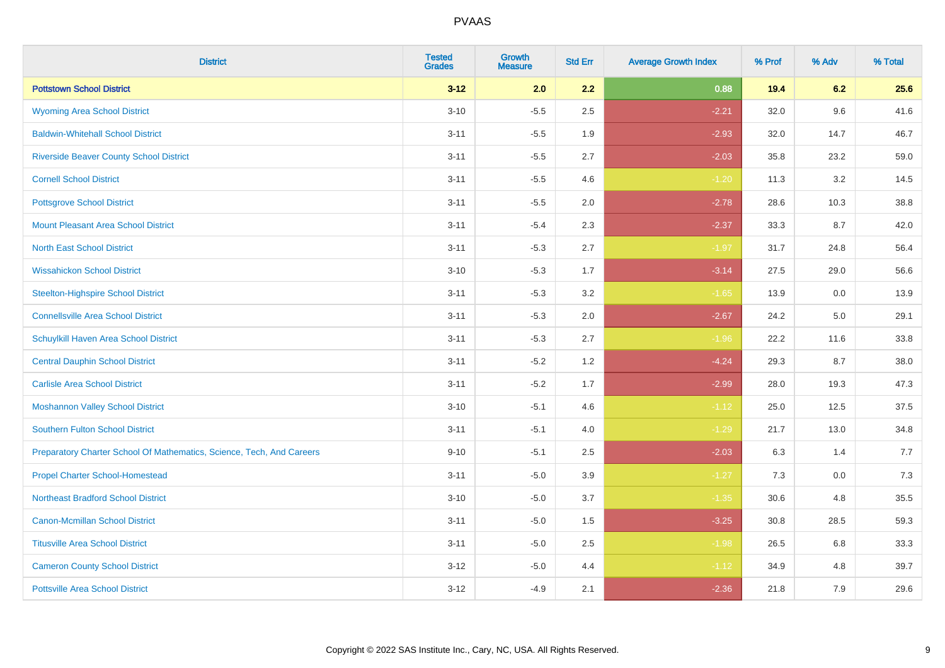| <b>District</b>                                                       | <b>Tested</b><br><b>Grades</b> | <b>Growth</b><br><b>Measure</b> | <b>Std Err</b> | <b>Average Growth Index</b> | % Prof | % Adv | % Total |
|-----------------------------------------------------------------------|--------------------------------|---------------------------------|----------------|-----------------------------|--------|-------|---------|
| <b>Pottstown School District</b>                                      | $3 - 12$                       | 2.0                             | 2.2            | 0.88                        | 19.4   | 6.2   | 25.6    |
| <b>Wyoming Area School District</b>                                   | $3 - 10$                       | $-5.5$                          | 2.5            | $-2.21$                     | 32.0   | 9.6   | 41.6    |
| <b>Baldwin-Whitehall School District</b>                              | $3 - 11$                       | $-5.5$                          | 1.9            | $-2.93$                     | 32.0   | 14.7  | 46.7    |
| <b>Riverside Beaver County School District</b>                        | $3 - 11$                       | $-5.5$                          | 2.7            | $-2.03$                     | 35.8   | 23.2  | 59.0    |
| <b>Cornell School District</b>                                        | $3 - 11$                       | $-5.5$                          | 4.6            | $-1.20$                     | 11.3   | 3.2   | 14.5    |
| <b>Pottsgrove School District</b>                                     | $3 - 11$                       | $-5.5$                          | 2.0            | $-2.78$                     | 28.6   | 10.3  | 38.8    |
| <b>Mount Pleasant Area School District</b>                            | $3 - 11$                       | $-5.4$                          | 2.3            | $-2.37$                     | 33.3   | 8.7   | 42.0    |
| <b>North East School District</b>                                     | $3 - 11$                       | $-5.3$                          | 2.7            | $-1.97$                     | 31.7   | 24.8  | 56.4    |
| <b>Wissahickon School District</b>                                    | $3 - 10$                       | $-5.3$                          | 1.7            | $-3.14$                     | 27.5   | 29.0  | 56.6    |
| <b>Steelton-Highspire School District</b>                             | $3 - 11$                       | $-5.3$                          | 3.2            | $-1.65$                     | 13.9   | 0.0   | 13.9    |
| <b>Connellsville Area School District</b>                             | $3 - 11$                       | $-5.3$                          | 2.0            | $-2.67$                     | 24.2   | 5.0   | 29.1    |
| Schuylkill Haven Area School District                                 | $3 - 11$                       | $-5.3$                          | 2.7            | $-1.96$                     | 22.2   | 11.6  | 33.8    |
| <b>Central Dauphin School District</b>                                | $3 - 11$                       | $-5.2$                          | 1.2            | $-4.24$                     | 29.3   | 8.7   | 38.0    |
| <b>Carlisle Area School District</b>                                  | $3 - 11$                       | $-5.2$                          | 1.7            | $-2.99$                     | 28.0   | 19.3  | 47.3    |
| <b>Moshannon Valley School District</b>                               | $3 - 10$                       | $-5.1$                          | 4.6            | $-1.12$                     | 25.0   | 12.5  | 37.5    |
| <b>Southern Fulton School District</b>                                | $3 - 11$                       | $-5.1$                          | 4.0            | $-1.29$                     | 21.7   | 13.0  | 34.8    |
| Preparatory Charter School Of Mathematics, Science, Tech, And Careers | $9 - 10$                       | $-5.1$                          | 2.5            | $-2.03$                     | 6.3    | 1.4   | 7.7     |
| <b>Propel Charter School-Homestead</b>                                | $3 - 11$                       | $-5.0$                          | 3.9            | $-1.27$                     | 7.3    | 0.0   | 7.3     |
| <b>Northeast Bradford School District</b>                             | $3 - 10$                       | $-5.0$                          | 3.7            | $-1.35$                     | 30.6   | 4.8   | 35.5    |
| <b>Canon-Mcmillan School District</b>                                 | $3 - 11$                       | $-5.0$                          | 1.5            | $-3.25$                     | 30.8   | 28.5  | 59.3    |
| <b>Titusville Area School District</b>                                | $3 - 11$                       | $-5.0$                          | 2.5            | $-1.98$                     | 26.5   | 6.8   | 33.3    |
| <b>Cameron County School District</b>                                 | $3 - 12$                       | $-5.0$                          | 4.4            | $-1.12$                     | 34.9   | 4.8   | 39.7    |
| <b>Pottsville Area School District</b>                                | $3-12$                         | $-4.9$                          | 2.1            | $-2.36$                     | 21.8   | 7.9   | 29.6    |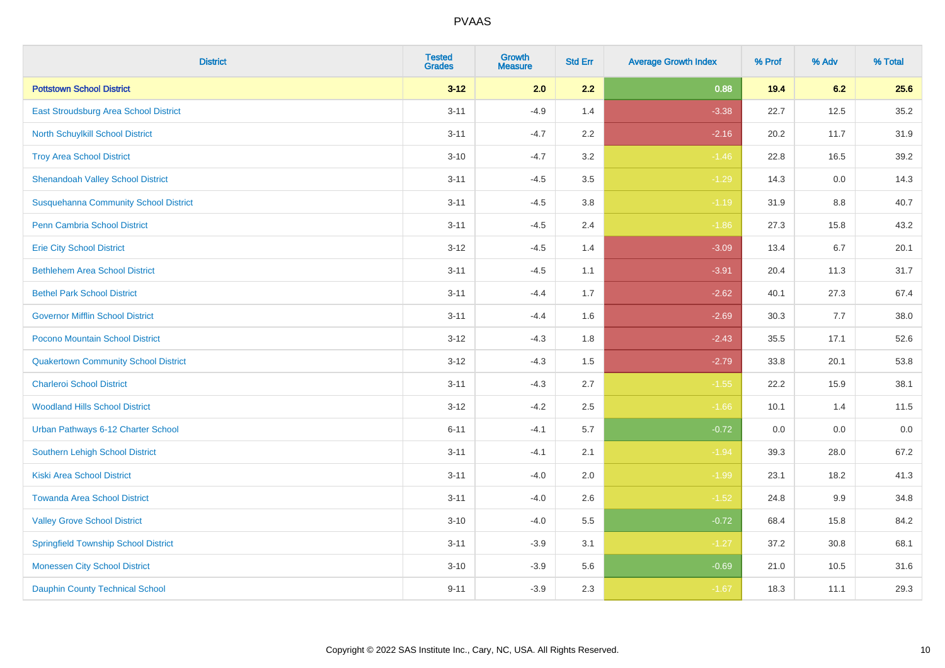| <b>District</b>                              | <b>Tested</b><br><b>Grades</b> | Growth<br><b>Measure</b> | <b>Std Err</b> | <b>Average Growth Index</b> | % Prof | % Adv | % Total |
|----------------------------------------------|--------------------------------|--------------------------|----------------|-----------------------------|--------|-------|---------|
| <b>Pottstown School District</b>             | $3 - 12$                       | 2.0                      | 2.2            | 0.88                        | 19.4   | 6.2   | 25.6    |
| East Stroudsburg Area School District        | $3 - 11$                       | $-4.9$                   | 1.4            | $-3.38$                     | 22.7   | 12.5  | 35.2    |
| North Schuylkill School District             | $3 - 11$                       | $-4.7$                   | 2.2            | $-2.16$                     | 20.2   | 11.7  | 31.9    |
| <b>Troy Area School District</b>             | $3 - 10$                       | $-4.7$                   | 3.2            | $-1.46$                     | 22.8   | 16.5  | 39.2    |
| <b>Shenandoah Valley School District</b>     | $3 - 11$                       | $-4.5$                   | 3.5            | $-1.29$                     | 14.3   | 0.0   | 14.3    |
| <b>Susquehanna Community School District</b> | $3 - 11$                       | $-4.5$                   | 3.8            | $-1.19$                     | 31.9   | 8.8   | 40.7    |
| Penn Cambria School District                 | $3 - 11$                       | $-4.5$                   | 2.4            | $-1.86$                     | 27.3   | 15.8  | 43.2    |
| <b>Erie City School District</b>             | $3 - 12$                       | $-4.5$                   | 1.4            | $-3.09$                     | 13.4   | 6.7   | 20.1    |
| <b>Bethlehem Area School District</b>        | $3 - 11$                       | $-4.5$                   | 1.1            | $-3.91$                     | 20.4   | 11.3  | 31.7    |
| <b>Bethel Park School District</b>           | $3 - 11$                       | $-4.4$                   | 1.7            | $-2.62$                     | 40.1   | 27.3  | 67.4    |
| <b>Governor Mifflin School District</b>      | $3 - 11$                       | $-4.4$                   | 1.6            | $-2.69$                     | 30.3   | 7.7   | 38.0    |
| Pocono Mountain School District              | $3 - 12$                       | $-4.3$                   | 1.8            | $-2.43$                     | 35.5   | 17.1  | 52.6    |
| <b>Quakertown Community School District</b>  | $3 - 12$                       | $-4.3$                   | 1.5            | $-2.79$                     | 33.8   | 20.1  | 53.8    |
| <b>Charleroi School District</b>             | $3 - 11$                       | $-4.3$                   | 2.7            | $-1.55$                     | 22.2   | 15.9  | 38.1    |
| <b>Woodland Hills School District</b>        | $3-12$                         | $-4.2$                   | 2.5            | $-1.66$                     | 10.1   | 1.4   | 11.5    |
| Urban Pathways 6-12 Charter School           | $6 - 11$                       | $-4.1$                   | 5.7            | $-0.72$                     | 0.0    | 0.0   | 0.0     |
| <b>Southern Lehigh School District</b>       | $3 - 11$                       | $-4.1$                   | 2.1            | $-1.94$                     | 39.3   | 28.0  | 67.2    |
| <b>Kiski Area School District</b>            | $3 - 11$                       | $-4.0$                   | 2.0            | $-1.99$                     | 23.1   | 18.2  | 41.3    |
| <b>Towanda Area School District</b>          | $3 - 11$                       | $-4.0$                   | 2.6            | $-1.52$                     | 24.8   | 9.9   | 34.8    |
| <b>Valley Grove School District</b>          | $3 - 10$                       | $-4.0$                   | 5.5            | $-0.72$                     | 68.4   | 15.8  | 84.2    |
| <b>Springfield Township School District</b>  | $3 - 11$                       | $-3.9$                   | 3.1            | $-1.27$                     | 37.2   | 30.8  | 68.1    |
| <b>Monessen City School District</b>         | $3 - 10$                       | $-3.9$                   | 5.6            | $-0.69$                     | 21.0   | 10.5  | 31.6    |
| <b>Dauphin County Technical School</b>       | $9 - 11$                       | $-3.9$                   | 2.3            | $-1.67$                     | 18.3   | 11.1  | 29.3    |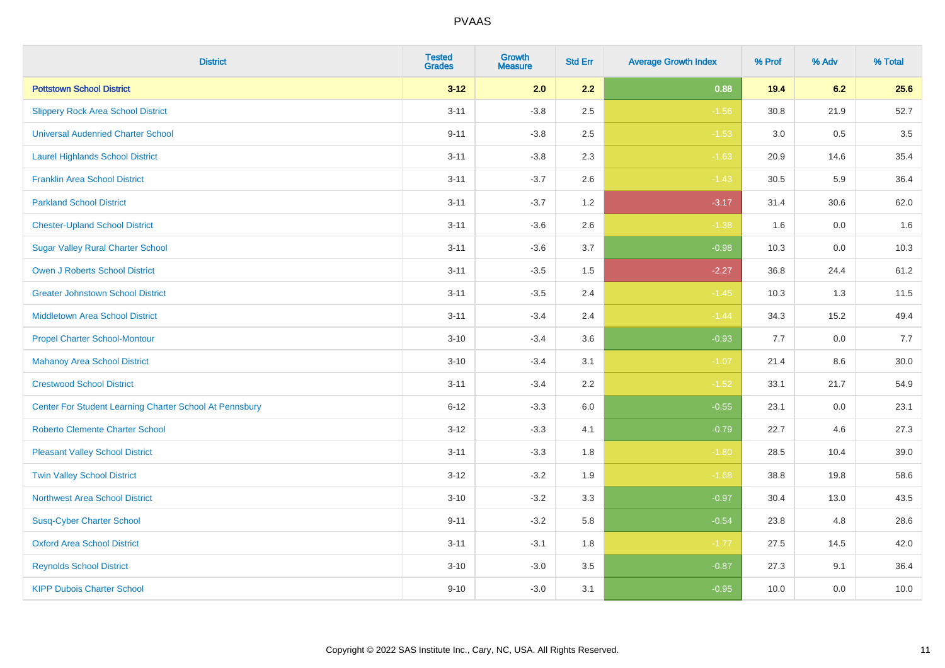| <b>District</b>                                         | <b>Tested</b><br><b>Grades</b> | <b>Growth</b><br><b>Measure</b> | <b>Std Err</b> | <b>Average Growth Index</b> | % Prof | % Adv   | % Total |
|---------------------------------------------------------|--------------------------------|---------------------------------|----------------|-----------------------------|--------|---------|---------|
| <b>Pottstown School District</b>                        | $3 - 12$                       | 2.0                             | 2.2            | 0.88                        | 19.4   | 6.2     | 25.6    |
| <b>Slippery Rock Area School District</b>               | $3 - 11$                       | $-3.8$                          | 2.5            | $-1.56$                     | 30.8   | 21.9    | 52.7    |
| <b>Universal Audenried Charter School</b>               | $9 - 11$                       | $-3.8$                          | 2.5            | $-1.53$                     | 3.0    | 0.5     | 3.5     |
| <b>Laurel Highlands School District</b>                 | $3 - 11$                       | $-3.8$                          | 2.3            | $-1.63$                     | 20.9   | 14.6    | 35.4    |
| <b>Franklin Area School District</b>                    | $3 - 11$                       | $-3.7$                          | 2.6            | $-1.43$                     | 30.5   | 5.9     | 36.4    |
| <b>Parkland School District</b>                         | $3 - 11$                       | $-3.7$                          | 1.2            | $-3.17$                     | 31.4   | 30.6    | 62.0    |
| <b>Chester-Upland School District</b>                   | $3 - 11$                       | $-3.6$                          | 2.6            | $-1.38$                     | 1.6    | $0.0\,$ | 1.6     |
| <b>Sugar Valley Rural Charter School</b>                | $3 - 11$                       | $-3.6$                          | 3.7            | $-0.98$                     | 10.3   | 0.0     | 10.3    |
| <b>Owen J Roberts School District</b>                   | $3 - 11$                       | $-3.5$                          | 1.5            | $-2.27$                     | 36.8   | 24.4    | 61.2    |
| <b>Greater Johnstown School District</b>                | $3 - 11$                       | $-3.5$                          | 2.4            | $-1.45$                     | 10.3   | 1.3     | 11.5    |
| <b>Middletown Area School District</b>                  | $3 - 11$                       | $-3.4$                          | 2.4            | $-1.44$                     | 34.3   | 15.2    | 49.4    |
| <b>Propel Charter School-Montour</b>                    | $3 - 10$                       | $-3.4$                          | 3.6            | $-0.93$                     | 7.7    | 0.0     | 7.7     |
| <b>Mahanoy Area School District</b>                     | $3 - 10$                       | $-3.4$                          | 3.1            | $-1.07$                     | 21.4   | $8.6\,$ | 30.0    |
| <b>Crestwood School District</b>                        | $3 - 11$                       | $-3.4$                          | 2.2            | $-1.52$                     | 33.1   | 21.7    | 54.9    |
| Center For Student Learning Charter School At Pennsbury | $6 - 12$                       | $-3.3$                          | 6.0            | $-0.55$                     | 23.1   | 0.0     | 23.1    |
| <b>Roberto Clemente Charter School</b>                  | $3 - 12$                       | $-3.3$                          | 4.1            | $-0.79$                     | 22.7   | 4.6     | 27.3    |
| <b>Pleasant Valley School District</b>                  | $3 - 11$                       | $-3.3$                          | 1.8            | $-1.80$                     | 28.5   | 10.4    | 39.0    |
| <b>Twin Valley School District</b>                      | $3 - 12$                       | $-3.2$                          | 1.9            | $-1.68$                     | 38.8   | 19.8    | 58.6    |
| <b>Northwest Area School District</b>                   | $3 - 10$                       | $-3.2$                          | 3.3            | $-0.97$                     | 30.4   | 13.0    | 43.5    |
| <b>Susq-Cyber Charter School</b>                        | $9 - 11$                       | $-3.2$                          | 5.8            | $-0.54$                     | 23.8   | 4.8     | 28.6    |
| <b>Oxford Area School District</b>                      | $3 - 11$                       | $-3.1$                          | 1.8            | $-1.77$                     | 27.5   | 14.5    | 42.0    |
| <b>Reynolds School District</b>                         | $3 - 10$                       | $-3.0$                          | 3.5            | $-0.87$                     | 27.3   | 9.1     | 36.4    |
| <b>KIPP Dubois Charter School</b>                       | $9 - 10$                       | $-3.0$                          | 3.1            | $-0.95$                     | 10.0   | 0.0     | 10.0    |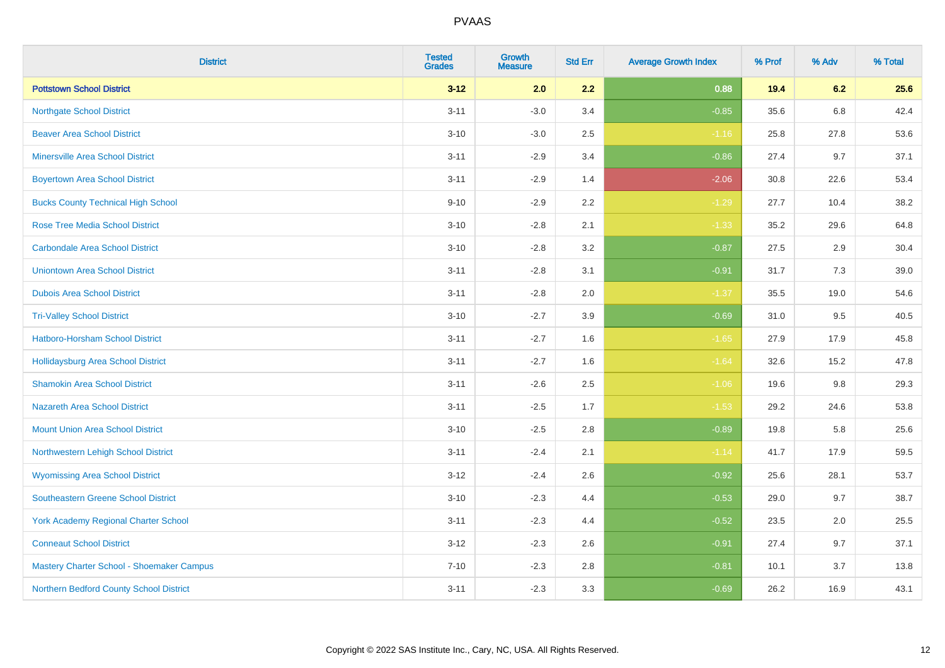| <b>District</b>                             | <b>Tested</b><br><b>Grades</b> | <b>Growth</b><br><b>Measure</b> | <b>Std Err</b> | <b>Average Growth Index</b> | % Prof | % Adv   | % Total |
|---------------------------------------------|--------------------------------|---------------------------------|----------------|-----------------------------|--------|---------|---------|
| <b>Pottstown School District</b>            | $3 - 12$                       | 2.0                             | 2.2            | 0.88                        | 19.4   | 6.2     | 25.6    |
| <b>Northgate School District</b>            | $3 - 11$                       | $-3.0$                          | 3.4            | $-0.85$                     | 35.6   | 6.8     | 42.4    |
| <b>Beaver Area School District</b>          | $3 - 10$                       | $-3.0$                          | 2.5            | $-1.16$                     | 25.8   | 27.8    | 53.6    |
| <b>Minersville Area School District</b>     | $3 - 11$                       | $-2.9$                          | 3.4            | $-0.86$                     | 27.4   | 9.7     | 37.1    |
| <b>Boyertown Area School District</b>       | $3 - 11$                       | $-2.9$                          | 1.4            | $-2.06$                     | 30.8   | 22.6    | 53.4    |
| <b>Bucks County Technical High School</b>   | $9 - 10$                       | $-2.9$                          | 2.2            | $-1.29$                     | 27.7   | 10.4    | 38.2    |
| <b>Rose Tree Media School District</b>      | $3 - 10$                       | $-2.8$                          | 2.1            | $-1.33$                     | 35.2   | 29.6    | 64.8    |
| <b>Carbondale Area School District</b>      | $3 - 10$                       | $-2.8$                          | 3.2            | $-0.87$                     | 27.5   | 2.9     | 30.4    |
| <b>Uniontown Area School District</b>       | $3 - 11$                       | $-2.8$                          | 3.1            | $-0.91$                     | 31.7   | $7.3$   | 39.0    |
| <b>Dubois Area School District</b>          | $3 - 11$                       | $-2.8$                          | 2.0            | $-1.37$                     | 35.5   | 19.0    | 54.6    |
| <b>Tri-Valley School District</b>           | $3 - 10$                       | $-2.7$                          | 3.9            | $-0.69$                     | 31.0   | 9.5     | 40.5    |
| Hatboro-Horsham School District             | $3 - 11$                       | $-2.7$                          | 1.6            | $-1.65$                     | 27.9   | 17.9    | 45.8    |
| Hollidaysburg Area School District          | $3 - 11$                       | $-2.7$                          | 1.6            | $-1.64$                     | 32.6   | 15.2    | 47.8    |
| <b>Shamokin Area School District</b>        | $3 - 11$                       | $-2.6$                          | 2.5            | $-1.06$                     | 19.6   | $9.8\,$ | 29.3    |
| <b>Nazareth Area School District</b>        | $3 - 11$                       | $-2.5$                          | 1.7            | $-1.53$                     | 29.2   | 24.6    | 53.8    |
| <b>Mount Union Area School District</b>     | $3 - 10$                       | $-2.5$                          | 2.8            | $-0.89$                     | 19.8   | 5.8     | 25.6    |
| Northwestern Lehigh School District         | $3 - 11$                       | $-2.4$                          | 2.1            | $-1.14$                     | 41.7   | 17.9    | 59.5    |
| <b>Wyomissing Area School District</b>      | $3-12$                         | $-2.4$                          | 2.6            | $-0.92$                     | 25.6   | 28.1    | 53.7    |
| <b>Southeastern Greene School District</b>  | $3 - 10$                       | $-2.3$                          | 4.4            | $-0.53$                     | 29.0   | 9.7     | 38.7    |
| <b>York Academy Regional Charter School</b> | $3 - 11$                       | $-2.3$                          | 4.4            | $-0.52$                     | 23.5   | 2.0     | 25.5    |
| <b>Conneaut School District</b>             | $3 - 12$                       | $-2.3$                          | 2.6            | $-0.91$                     | 27.4   | 9.7     | 37.1    |
| Mastery Charter School - Shoemaker Campus   | $7 - 10$                       | $-2.3$                          | 2.8            | $-0.81$                     | 10.1   | 3.7     | 13.8    |
| Northern Bedford County School District     | $3 - 11$                       | $-2.3$                          | 3.3            | $-0.69$                     | 26.2   | 16.9    | 43.1    |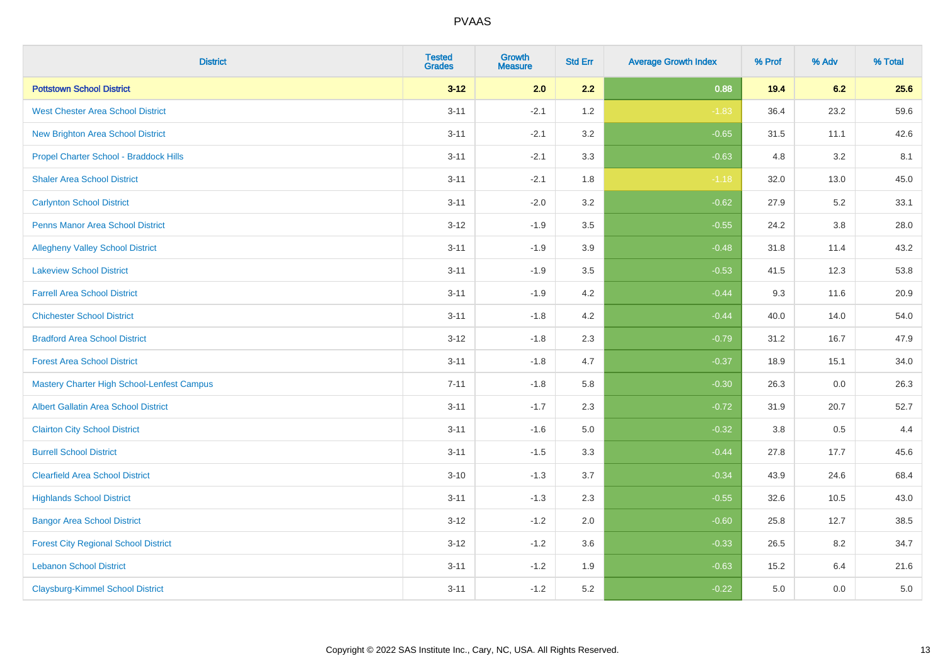| <b>District</b>                                   | <b>Tested</b><br><b>Grades</b> | <b>Growth</b><br><b>Measure</b> | <b>Std Err</b> | <b>Average Growth Index</b> | % Prof | % Adv   | % Total |
|---------------------------------------------------|--------------------------------|---------------------------------|----------------|-----------------------------|--------|---------|---------|
| <b>Pottstown School District</b>                  | $3 - 12$                       | 2.0                             | 2.2            | 0.88                        | 19.4   | 6.2     | 25.6    |
| <b>West Chester Area School District</b>          | $3 - 11$                       | $-2.1$                          | 1.2            | $-1.83$                     | 36.4   | 23.2    | 59.6    |
| <b>New Brighton Area School District</b>          | $3 - 11$                       | $-2.1$                          | 3.2            | $-0.65$                     | 31.5   | 11.1    | 42.6    |
| Propel Charter School - Braddock Hills            | $3 - 11$                       | $-2.1$                          | 3.3            | $-0.63$                     | 4.8    | 3.2     | 8.1     |
| <b>Shaler Area School District</b>                | $3 - 11$                       | $-2.1$                          | 1.8            | $-1.18$                     | 32.0   | 13.0    | 45.0    |
| <b>Carlynton School District</b>                  | $3 - 11$                       | $-2.0$                          | 3.2            | $-0.62$                     | 27.9   | 5.2     | 33.1    |
| <b>Penns Manor Area School District</b>           | $3 - 12$                       | $-1.9$                          | 3.5            | $-0.55$                     | 24.2   | $3.8\,$ | 28.0    |
| <b>Allegheny Valley School District</b>           | $3 - 11$                       | $-1.9$                          | 3.9            | $-0.48$                     | 31.8   | 11.4    | 43.2    |
| <b>Lakeview School District</b>                   | $3 - 11$                       | $-1.9$                          | 3.5            | $-0.53$                     | 41.5   | 12.3    | 53.8    |
| <b>Farrell Area School District</b>               | $3 - 11$                       | $-1.9$                          | 4.2            | $-0.44$                     | 9.3    | 11.6    | 20.9    |
| <b>Chichester School District</b>                 | $3 - 11$                       | $-1.8$                          | 4.2            | $-0.44$                     | 40.0   | 14.0    | 54.0    |
| <b>Bradford Area School District</b>              | $3 - 12$                       | $-1.8$                          | 2.3            | $-0.79$                     | 31.2   | 16.7    | 47.9    |
| <b>Forest Area School District</b>                | $3 - 11$                       | $-1.8$                          | 4.7            | $-0.37$                     | 18.9   | 15.1    | 34.0    |
| <b>Mastery Charter High School-Lenfest Campus</b> | $7 - 11$                       | $-1.8$                          | 5.8            | $-0.30$                     | 26.3   | 0.0     | 26.3    |
| <b>Albert Gallatin Area School District</b>       | $3 - 11$                       | $-1.7$                          | 2.3            | $-0.72$                     | 31.9   | 20.7    | 52.7    |
| <b>Clairton City School District</b>              | $3 - 11$                       | $-1.6$                          | $5.0\,$        | $-0.32$                     | 3.8    | 0.5     | 4.4     |
| <b>Burrell School District</b>                    | $3 - 11$                       | $-1.5$                          | 3.3            | $-0.44$                     | 27.8   | 17.7    | 45.6    |
| <b>Clearfield Area School District</b>            | $3 - 10$                       | $-1.3$                          | 3.7            | $-0.34$                     | 43.9   | 24.6    | 68.4    |
| <b>Highlands School District</b>                  | $3 - 11$                       | $-1.3$                          | 2.3            | $-0.55$                     | 32.6   | 10.5    | 43.0    |
| <b>Bangor Area School District</b>                | $3 - 12$                       | $-1.2$                          | 2.0            | $-0.60$                     | 25.8   | 12.7    | 38.5    |
| <b>Forest City Regional School District</b>       | $3 - 12$                       | $-1.2$                          | 3.6            | $-0.33$                     | 26.5   | 8.2     | 34.7    |
| <b>Lebanon School District</b>                    | $3 - 11$                       | $-1.2$                          | 1.9            | $-0.63$                     | 15.2   | 6.4     | 21.6    |
| <b>Claysburg-Kimmel School District</b>           | $3 - 11$                       | $-1.2$                          | 5.2            | $-0.22$                     | 5.0    | 0.0     | 5.0     |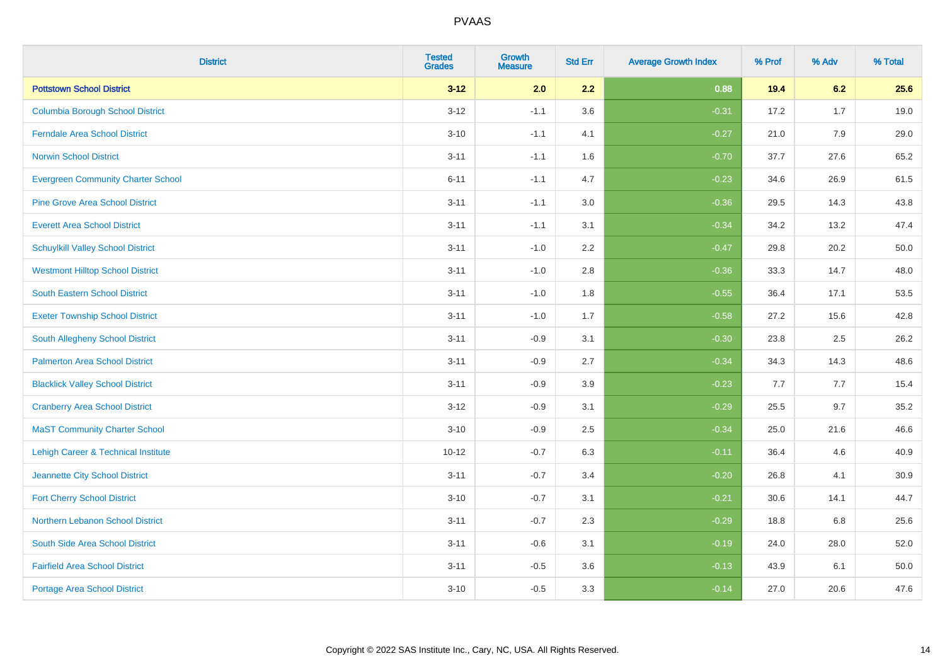| <b>District</b>                           | <b>Tested</b><br><b>Grades</b> | <b>Growth</b><br><b>Measure</b> | <b>Std Err</b> | <b>Average Growth Index</b> | % Prof | % Adv | % Total |
|-------------------------------------------|--------------------------------|---------------------------------|----------------|-----------------------------|--------|-------|---------|
| <b>Pottstown School District</b>          | $3 - 12$                       | 2.0                             | 2.2            | 0.88                        | 19.4   | 6.2   | 25.6    |
| <b>Columbia Borough School District</b>   | $3 - 12$                       | $-1.1$                          | 3.6            | $-0.31$                     | 17.2   | 1.7   | 19.0    |
| <b>Ferndale Area School District</b>      | $3 - 10$                       | $-1.1$                          | 4.1            | $-0.27$                     | 21.0   | 7.9   | 29.0    |
| <b>Norwin School District</b>             | $3 - 11$                       | $-1.1$                          | 1.6            | $-0.70$                     | 37.7   | 27.6  | 65.2    |
| <b>Evergreen Community Charter School</b> | $6 - 11$                       | $-1.1$                          | 4.7            | $-0.23$                     | 34.6   | 26.9  | 61.5    |
| <b>Pine Grove Area School District</b>    | $3 - 11$                       | $-1.1$                          | 3.0            | $-0.36$                     | 29.5   | 14.3  | 43.8    |
| <b>Everett Area School District</b>       | $3 - 11$                       | $-1.1$                          | 3.1            | $-0.34$                     | 34.2   | 13.2  | 47.4    |
| <b>Schuylkill Valley School District</b>  | $3 - 11$                       | $-1.0$                          | 2.2            | $-0.47$                     | 29.8   | 20.2  | 50.0    |
| <b>Westmont Hilltop School District</b>   | $3 - 11$                       | $-1.0$                          | 2.8            | $-0.36$                     | 33.3   | 14.7  | 48.0    |
| South Eastern School District             | $3 - 11$                       | $-1.0$                          | 1.8            | $-0.55$                     | 36.4   | 17.1  | 53.5    |
| <b>Exeter Township School District</b>    | $3 - 11$                       | $-1.0$                          | 1.7            | $-0.58$                     | 27.2   | 15.6  | 42.8    |
| <b>South Allegheny School District</b>    | $3 - 11$                       | $-0.9$                          | 3.1            | $-0.30$                     | 23.8   | 2.5   | 26.2    |
| <b>Palmerton Area School District</b>     | $3 - 11$                       | $-0.9$                          | 2.7            | $-0.34$                     | 34.3   | 14.3  | 48.6    |
| <b>Blacklick Valley School District</b>   | $3 - 11$                       | $-0.9$                          | 3.9            | $-0.23$                     | 7.7    | 7.7   | 15.4    |
| <b>Cranberry Area School District</b>     | $3 - 12$                       | $-0.9$                          | 3.1            | $-0.29$                     | 25.5   | 9.7   | 35.2    |
| <b>MaST Community Charter School</b>      | $3 - 10$                       | $-0.9$                          | 2.5            | $-0.34$                     | 25.0   | 21.6  | 46.6    |
| Lehigh Career & Technical Institute       | $10 - 12$                      | $-0.7$                          | 6.3            | $-0.11$                     | 36.4   | 4.6   | 40.9    |
| Jeannette City School District            | $3 - 11$                       | $-0.7$                          | 3.4            | $-0.20$                     | 26.8   | 4.1   | 30.9    |
| <b>Fort Cherry School District</b>        | $3 - 10$                       | $-0.7$                          | 3.1            | $-0.21$                     | 30.6   | 14.1  | 44.7    |
| Northern Lebanon School District          | $3 - 11$                       | $-0.7$                          | 2.3            | $-0.29$                     | 18.8   | 6.8   | 25.6    |
| South Side Area School District           | $3 - 11$                       | $-0.6$                          | 3.1            | $-0.19$                     | 24.0   | 28.0  | 52.0    |
| <b>Fairfield Area School District</b>     | $3 - 11$                       | $-0.5$                          | 3.6            | $-0.13$                     | 43.9   | 6.1   | 50.0    |
| <b>Portage Area School District</b>       | $3 - 10$                       | $-0.5$                          | 3.3            | $-0.14$                     | 27.0   | 20.6  | 47.6    |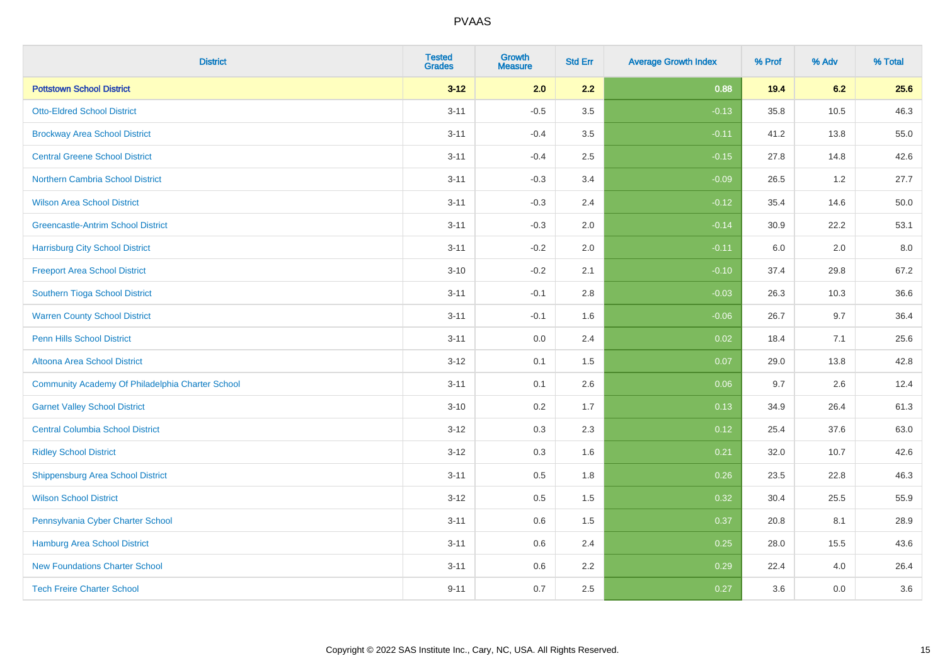| <b>District</b>                                  | <b>Tested</b><br><b>Grades</b> | Growth<br><b>Measure</b> | <b>Std Err</b> | <b>Average Growth Index</b> | % Prof | % Adv | % Total |
|--------------------------------------------------|--------------------------------|--------------------------|----------------|-----------------------------|--------|-------|---------|
| <b>Pottstown School District</b>                 | $3 - 12$                       | 2.0                      | 2.2            | 0.88                        | 19.4   | 6.2   | 25.6    |
| <b>Otto-Eldred School District</b>               | $3 - 11$                       | $-0.5$                   | 3.5            | $-0.13$                     | 35.8   | 10.5  | 46.3    |
| <b>Brockway Area School District</b>             | $3 - 11$                       | $-0.4$                   | 3.5            | $-0.11$                     | 41.2   | 13.8  | 55.0    |
| <b>Central Greene School District</b>            | $3 - 11$                       | $-0.4$                   | 2.5            | $-0.15$                     | 27.8   | 14.8  | 42.6    |
| Northern Cambria School District                 | $3 - 11$                       | $-0.3$                   | 3.4            | $-0.09$                     | 26.5   | 1.2   | 27.7    |
| <b>Wilson Area School District</b>               | $3 - 11$                       | $-0.3$                   | 2.4            | $-0.12$                     | 35.4   | 14.6  | 50.0    |
| <b>Greencastle-Antrim School District</b>        | $3 - 11$                       | $-0.3$                   | 2.0            | $-0.14$                     | 30.9   | 22.2  | 53.1    |
| <b>Harrisburg City School District</b>           | $3 - 11$                       | $-0.2$                   | 2.0            | $-0.11$                     | 6.0    | 2.0   | 8.0     |
| <b>Freeport Area School District</b>             | $3 - 10$                       | $-0.2$                   | 2.1            | $-0.10$                     | 37.4   | 29.8  | 67.2    |
| Southern Tioga School District                   | $3 - 11$                       | $-0.1$                   | 2.8            | $-0.03$                     | 26.3   | 10.3  | 36.6    |
| <b>Warren County School District</b>             | $3 - 11$                       | $-0.1$                   | 1.6            | $-0.06$                     | 26.7   | 9.7   | 36.4    |
| <b>Penn Hills School District</b>                | $3 - 11$                       | 0.0                      | 2.4            | 0.02                        | 18.4   | 7.1   | 25.6    |
| Altoona Area School District                     | $3 - 12$                       | 0.1                      | 1.5            | 0.07                        | 29.0   | 13.8  | 42.8    |
| Community Academy Of Philadelphia Charter School | $3 - 11$                       | 0.1                      | 2.6            | 0.06                        | 9.7    | 2.6   | 12.4    |
| <b>Garnet Valley School District</b>             | $3 - 10$                       | 0.2                      | 1.7            | 0.13                        | 34.9   | 26.4  | 61.3    |
| <b>Central Columbia School District</b>          | $3 - 12$                       | 0.3                      | 2.3            | 0.12                        | 25.4   | 37.6  | 63.0    |
| <b>Ridley School District</b>                    | $3 - 12$                       | 0.3                      | 1.6            | 0.21                        | 32.0   | 10.7  | 42.6    |
| <b>Shippensburg Area School District</b>         | $3 - 11$                       | 0.5                      | 1.8            | 0.26                        | 23.5   | 22.8  | 46.3    |
| <b>Wilson School District</b>                    | $3 - 12$                       | 0.5                      | 1.5            | 0.32                        | 30.4   | 25.5  | 55.9    |
| Pennsylvania Cyber Charter School                | $3 - 11$                       | 0.6                      | 1.5            | 0.37                        | 20.8   | 8.1   | 28.9    |
| Hamburg Area School District                     | $3 - 11$                       | 0.6                      | 2.4            | 0.25                        | 28.0   | 15.5  | 43.6    |
| <b>New Foundations Charter School</b>            | $3 - 11$                       | 0.6                      | 2.2            | 0.29                        | 22.4   | 4.0   | 26.4    |
| <b>Tech Freire Charter School</b>                | $9 - 11$                       | 0.7                      | 2.5            | 0.27                        | 3.6    | 0.0   | 3.6     |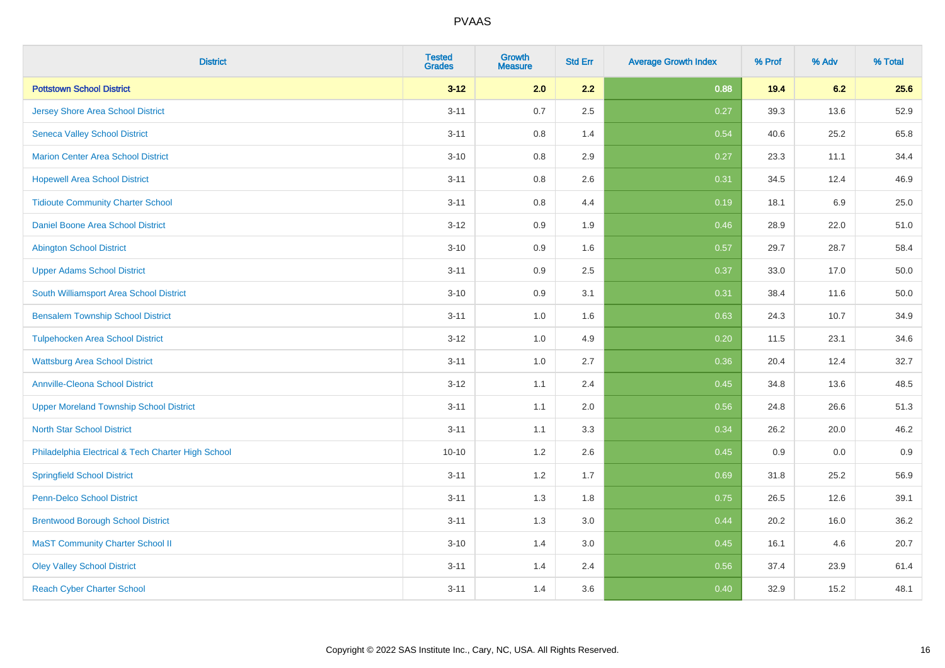| <b>District</b>                                    | <b>Tested</b><br><b>Grades</b> | <b>Growth</b><br><b>Measure</b> | <b>Std Err</b> | <b>Average Growth Index</b> | % Prof | % Adv | % Total |
|----------------------------------------------------|--------------------------------|---------------------------------|----------------|-----------------------------|--------|-------|---------|
| <b>Pottstown School District</b>                   | $3 - 12$                       | 2.0                             | 2.2            | 0.88                        | 19.4   | 6.2   | 25.6    |
| <b>Jersey Shore Area School District</b>           | $3 - 11$                       | 0.7                             | 2.5            | 0.27                        | 39.3   | 13.6  | 52.9    |
| <b>Seneca Valley School District</b>               | $3 - 11$                       | 0.8                             | 1.4            | 0.54                        | 40.6   | 25.2  | 65.8    |
| <b>Marion Center Area School District</b>          | $3 - 10$                       | 0.8                             | 2.9            | 0.27                        | 23.3   | 11.1  | 34.4    |
| <b>Hopewell Area School District</b>               | $3 - 11$                       | 0.8                             | 2.6            | 0.31                        | 34.5   | 12.4  | 46.9    |
| <b>Tidioute Community Charter School</b>           | $3 - 11$                       | 0.8                             | 4.4            | 0.19                        | 18.1   | 6.9   | 25.0    |
| Daniel Boone Area School District                  | $3 - 12$                       | 0.9                             | 1.9            | 0.46                        | 28.9   | 22.0  | 51.0    |
| <b>Abington School District</b>                    | $3 - 10$                       | 0.9                             | 1.6            | 0.57                        | 29.7   | 28.7  | 58.4    |
| <b>Upper Adams School District</b>                 | $3 - 11$                       | 0.9                             | 2.5            | 0.37                        | 33.0   | 17.0  | 50.0    |
| South Williamsport Area School District            | $3 - 10$                       | 0.9                             | 3.1            | 0.31                        | 38.4   | 11.6  | 50.0    |
| <b>Bensalem Township School District</b>           | $3 - 11$                       | 1.0                             | 1.6            | 0.63                        | 24.3   | 10.7  | 34.9    |
| <b>Tulpehocken Area School District</b>            | $3 - 12$                       | 1.0                             | 4.9            | 0.20                        | 11.5   | 23.1  | 34.6    |
| <b>Wattsburg Area School District</b>              | $3 - 11$                       | $1.0\,$                         | 2.7            | 0.36                        | 20.4   | 12.4  | 32.7    |
| <b>Annville-Cleona School District</b>             | $3 - 12$                       | 1.1                             | 2.4            | 0.45                        | 34.8   | 13.6  | 48.5    |
| <b>Upper Moreland Township School District</b>     | $3 - 11$                       | 1.1                             | 2.0            | 0.56                        | 24.8   | 26.6  | 51.3    |
| <b>North Star School District</b>                  | $3 - 11$                       | 1.1                             | 3.3            | 0.34                        | 26.2   | 20.0  | 46.2    |
| Philadelphia Electrical & Tech Charter High School | $10 - 10$                      | 1.2                             | 2.6            | 0.45                        | 0.9    | 0.0   | 0.9     |
| <b>Springfield School District</b>                 | $3 - 11$                       | 1.2                             | 1.7            | 0.69                        | 31.8   | 25.2  | 56.9    |
| <b>Penn-Delco School District</b>                  | $3 - 11$                       | 1.3                             | 1.8            | 0.75                        | 26.5   | 12.6  | 39.1    |
| <b>Brentwood Borough School District</b>           | $3 - 11$                       | 1.3                             | 3.0            | 0.44                        | 20.2   | 16.0  | 36.2    |
| <b>MaST Community Charter School II</b>            | $3 - 10$                       | 1.4                             | 3.0            | 0.45                        | 16.1   | 4.6   | 20.7    |
| <b>Oley Valley School District</b>                 | $3 - 11$                       | 1.4                             | 2.4            | 0.56                        | 37.4   | 23.9  | 61.4    |
| <b>Reach Cyber Charter School</b>                  | $3 - 11$                       | 1.4                             | 3.6            | 0.40                        | 32.9   | 15.2  | 48.1    |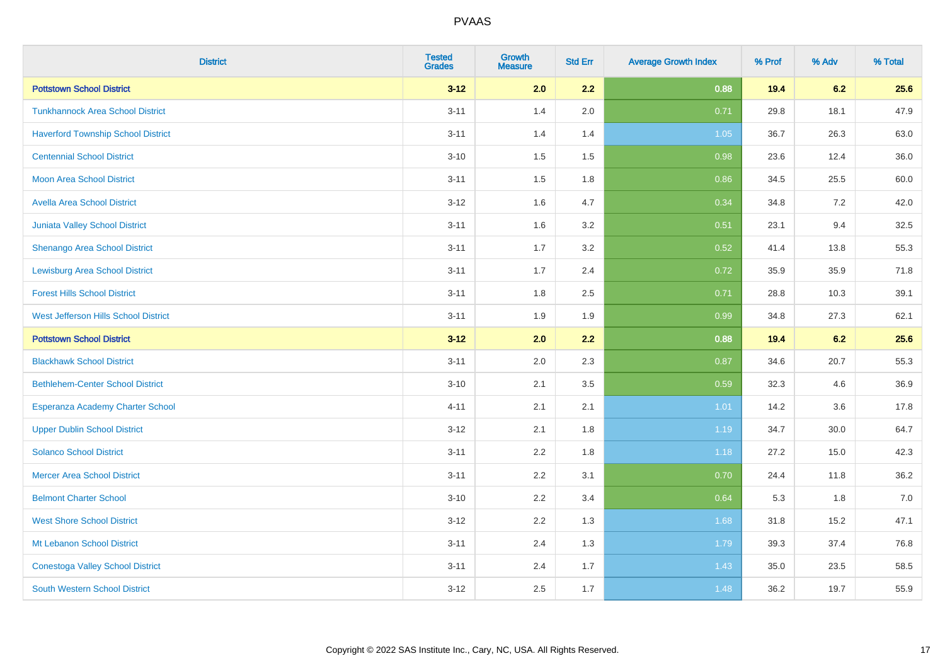| <b>District</b>                           | <b>Tested</b><br><b>Grades</b> | <b>Growth</b><br><b>Measure</b> | <b>Std Err</b> | <b>Average Growth Index</b> | % Prof | % Adv | % Total |
|-------------------------------------------|--------------------------------|---------------------------------|----------------|-----------------------------|--------|-------|---------|
| <b>Pottstown School District</b>          | $3 - 12$                       | 2.0                             | 2.2            | 0.88                        | 19.4   | 6.2   | 25.6    |
| <b>Tunkhannock Area School District</b>   | $3 - 11$                       | 1.4                             | 2.0            | 0.71                        | 29.8   | 18.1  | 47.9    |
| <b>Haverford Township School District</b> | $3 - 11$                       | 1.4                             | 1.4            | 1.05                        | 36.7   | 26.3  | 63.0    |
| <b>Centennial School District</b>         | $3 - 10$                       | 1.5                             | 1.5            | 0.98                        | 23.6   | 12.4  | 36.0    |
| <b>Moon Area School District</b>          | $3 - 11$                       | 1.5                             | 1.8            | 0.86                        | 34.5   | 25.5  | 60.0    |
| <b>Avella Area School District</b>        | $3 - 12$                       | 1.6                             | 4.7            | 0.34                        | 34.8   | 7.2   | 42.0    |
| <b>Juniata Valley School District</b>     | $3 - 11$                       | 1.6                             | 3.2            | 0.51                        | 23.1   | 9.4   | 32.5    |
| <b>Shenango Area School District</b>      | $3 - 11$                       | 1.7                             | 3.2            | 0.52                        | 41.4   | 13.8  | 55.3    |
| <b>Lewisburg Area School District</b>     | $3 - 11$                       | 1.7                             | 2.4            | 0.72                        | 35.9   | 35.9  | 71.8    |
| <b>Forest Hills School District</b>       | $3 - 11$                       | 1.8                             | 2.5            | 0.71                        | 28.8   | 10.3  | 39.1    |
| West Jefferson Hills School District      | $3 - 11$                       | 1.9                             | 1.9            | 0.99                        | 34.8   | 27.3  | 62.1    |
| <b>Pottstown School District</b>          | $3 - 12$                       | 2.0                             | 2.2            | 0.88                        | 19.4   | 6.2   | 25.6    |
| <b>Blackhawk School District</b>          | $3 - 11$                       | 2.0                             | 2.3            | 0.87                        | 34.6   | 20.7  | 55.3    |
| <b>Bethlehem-Center School District</b>   | $3 - 10$                       | 2.1                             | 3.5            | 0.59                        | 32.3   | 4.6   | 36.9    |
| Esperanza Academy Charter School          | $4 - 11$                       | 2.1                             | 2.1            | 1.01                        | 14.2   | 3.6   | 17.8    |
| <b>Upper Dublin School District</b>       | $3 - 12$                       | 2.1                             | 1.8            | 1.19                        | 34.7   | 30.0  | 64.7    |
| <b>Solanco School District</b>            | $3 - 11$                       | 2.2                             | 1.8            | 1.18                        | 27.2   | 15.0  | 42.3    |
| <b>Mercer Area School District</b>        | $3 - 11$                       | 2.2                             | 3.1            | 0.70                        | 24.4   | 11.8  | 36.2    |
| <b>Belmont Charter School</b>             | $3 - 10$                       | 2.2                             | 3.4            | 0.64                        | 5.3    | 1.8   | 7.0     |
| <b>West Shore School District</b>         | $3 - 12$                       | 2.2                             | 1.3            | 1.68                        | 31.8   | 15.2  | 47.1    |
| Mt Lebanon School District                | $3 - 11$                       | 2.4                             | 1.3            | 1.79                        | 39.3   | 37.4  | 76.8    |
| <b>Conestoga Valley School District</b>   | $3 - 11$                       | 2.4                             | 1.7            | 1.43                        | 35.0   | 23.5  | 58.5    |
| <b>South Western School District</b>      | $3 - 12$                       | 2.5                             | 1.7            | 1.48                        | 36.2   | 19.7  | 55.9    |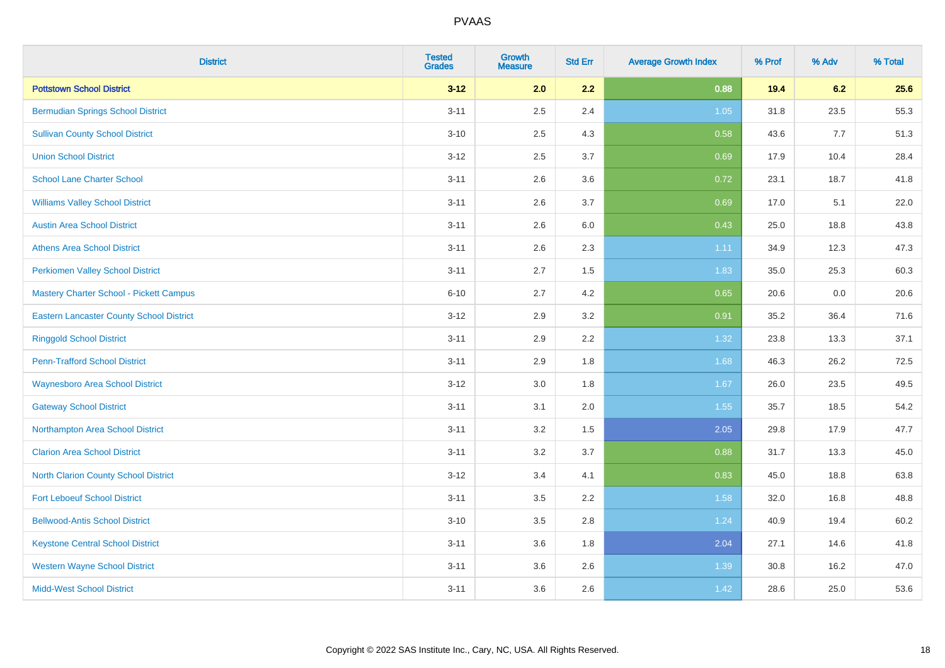| <b>District</b>                                 | <b>Tested</b><br><b>Grades</b> | <b>Growth</b><br><b>Measure</b> | <b>Std Err</b> | <b>Average Growth Index</b> | % Prof | % Adv | % Total |
|-------------------------------------------------|--------------------------------|---------------------------------|----------------|-----------------------------|--------|-------|---------|
| <b>Pottstown School District</b>                | $3 - 12$                       | 2.0                             | 2.2            | 0.88                        | 19.4   | 6.2   | 25.6    |
| <b>Bermudian Springs School District</b>        | $3 - 11$                       | 2.5                             | 2.4            | 1.05                        | 31.8   | 23.5  | 55.3    |
| <b>Sullivan County School District</b>          | $3 - 10$                       | 2.5                             | 4.3            | 0.58                        | 43.6   | 7.7   | 51.3    |
| <b>Union School District</b>                    | $3 - 12$                       | 2.5                             | 3.7            | 0.69                        | 17.9   | 10.4  | 28.4    |
| <b>School Lane Charter School</b>               | $3 - 11$                       | 2.6                             | 3.6            | 0.72                        | 23.1   | 18.7  | 41.8    |
| <b>Williams Valley School District</b>          | $3 - 11$                       | 2.6                             | 3.7            | 0.69                        | 17.0   | 5.1   | 22.0    |
| <b>Austin Area School District</b>              | $3 - 11$                       | 2.6                             | 6.0            | 0.43                        | 25.0   | 18.8  | 43.8    |
| <b>Athens Area School District</b>              | $3 - 11$                       | 2.6                             | 2.3            | 1.11                        | 34.9   | 12.3  | 47.3    |
| <b>Perkiomen Valley School District</b>         | $3 - 11$                       | 2.7                             | 1.5            | 1.83                        | 35.0   | 25.3  | 60.3    |
| Mastery Charter School - Pickett Campus         | $6 - 10$                       | 2.7                             | 4.2            | 0.65                        | 20.6   | 0.0   | 20.6    |
| <b>Eastern Lancaster County School District</b> | $3 - 12$                       | 2.9                             | 3.2            | 0.91                        | 35.2   | 36.4  | 71.6    |
| <b>Ringgold School District</b>                 | $3 - 11$                       | 2.9                             | 2.2            | 1.32                        | 23.8   | 13.3  | 37.1    |
| <b>Penn-Trafford School District</b>            | $3 - 11$                       | 2.9                             | 1.8            | 1.68                        | 46.3   | 26.2  | 72.5    |
| <b>Waynesboro Area School District</b>          | $3 - 12$                       | 3.0                             | 1.8            | 1.67                        | 26.0   | 23.5  | 49.5    |
| <b>Gateway School District</b>                  | $3 - 11$                       | 3.1                             | 2.0            | 1.55                        | 35.7   | 18.5  | 54.2    |
| Northampton Area School District                | $3 - 11$                       | 3.2                             | 1.5            | 2.05                        | 29.8   | 17.9  | 47.7    |
| <b>Clarion Area School District</b>             | $3 - 11$                       | 3.2                             | 3.7            | 0.88                        | 31.7   | 13.3  | 45.0    |
| North Clarion County School District            | $3 - 12$                       | 3.4                             | 4.1            | 0.83                        | 45.0   | 18.8  | 63.8    |
| <b>Fort Leboeuf School District</b>             | $3 - 11$                       | 3.5                             | 2.2            | 1.58                        | 32.0   | 16.8  | 48.8    |
| <b>Bellwood-Antis School District</b>           | $3 - 10$                       | 3.5                             | 2.8            | 1.24                        | 40.9   | 19.4  | 60.2    |
| <b>Keystone Central School District</b>         | $3 - 11$                       | 3.6                             | 1.8            | 2.04                        | 27.1   | 14.6  | 41.8    |
| <b>Western Wayne School District</b>            | $3 - 11$                       | 3.6                             | 2.6            | 1.39                        | 30.8   | 16.2  | 47.0    |
| <b>Midd-West School District</b>                | $3 - 11$                       | 3.6                             | 2.6            | 1.42                        | 28.6   | 25.0  | 53.6    |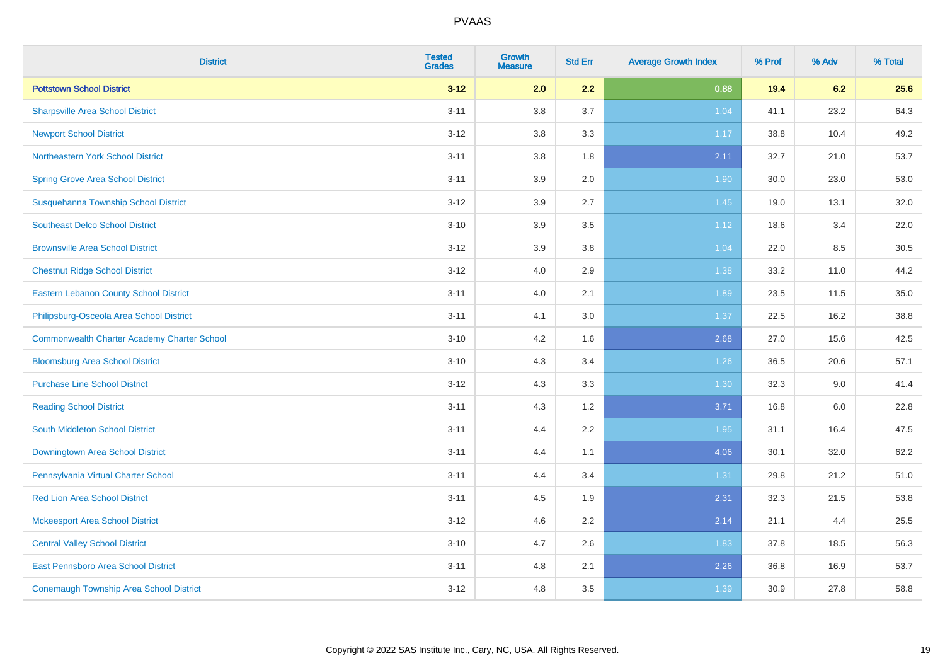| <b>District</b>                                    | <b>Tested</b><br><b>Grades</b> | <b>Growth</b><br><b>Measure</b> | <b>Std Err</b> | <b>Average Growth Index</b> | % Prof | % Adv | % Total |
|----------------------------------------------------|--------------------------------|---------------------------------|----------------|-----------------------------|--------|-------|---------|
| <b>Pottstown School District</b>                   | $3 - 12$                       | 2.0                             | 2.2            | 0.88                        | 19.4   | 6.2   | 25.6    |
| <b>Sharpsville Area School District</b>            | $3 - 11$                       | 3.8                             | 3.7            | 1.04                        | 41.1   | 23.2  | 64.3    |
| <b>Newport School District</b>                     | $3 - 12$                       | 3.8                             | 3.3            | 1.17                        | 38.8   | 10.4  | 49.2    |
| <b>Northeastern York School District</b>           | $3 - 11$                       | $3.8\,$                         | 1.8            | 2.11                        | 32.7   | 21.0  | 53.7    |
| <b>Spring Grove Area School District</b>           | $3 - 11$                       | 3.9                             | 2.0            | 1.90                        | 30.0   | 23.0  | 53.0    |
| Susquehanna Township School District               | $3 - 12$                       | 3.9                             | 2.7            | 1.45                        | 19.0   | 13.1  | 32.0    |
| <b>Southeast Delco School District</b>             | $3 - 10$                       | 3.9                             | 3.5            | 1.12                        | 18.6   | 3.4   | 22.0    |
| <b>Brownsville Area School District</b>            | $3 - 12$                       | 3.9                             | 3.8            | 1.04                        | 22.0   | 8.5   | 30.5    |
| <b>Chestnut Ridge School District</b>              | $3 - 12$                       | 4.0                             | 2.9            | 1.38                        | 33.2   | 11.0  | 44.2    |
| <b>Eastern Lebanon County School District</b>      | $3 - 11$                       | 4.0                             | 2.1            | 1.89                        | 23.5   | 11.5  | 35.0    |
| Philipsburg-Osceola Area School District           | $3 - 11$                       | 4.1                             | 3.0            | 1.37                        | 22.5   | 16.2  | 38.8    |
| <b>Commonwealth Charter Academy Charter School</b> | $3 - 10$                       | 4.2                             | 1.6            | 2.68                        | 27.0   | 15.6  | 42.5    |
| <b>Bloomsburg Area School District</b>             | $3 - 10$                       | 4.3                             | 3.4            | $1.26$                      | 36.5   | 20.6  | 57.1    |
| <b>Purchase Line School District</b>               | $3 - 12$                       | 4.3                             | 3.3            | 1.30                        | 32.3   | 9.0   | 41.4    |
| <b>Reading School District</b>                     | $3 - 11$                       | 4.3                             | 1.2            | 3.71                        | 16.8   | 6.0   | 22.8    |
| South Middleton School District                    | $3 - 11$                       | 4.4                             | 2.2            | 1.95                        | 31.1   | 16.4  | 47.5    |
| Downingtown Area School District                   | $3 - 11$                       | 4.4                             | 1.1            | 4.06                        | 30.1   | 32.0  | 62.2    |
| Pennsylvania Virtual Charter School                | $3 - 11$                       | 4.4                             | 3.4            | 1.31                        | 29.8   | 21.2  | 51.0    |
| <b>Red Lion Area School District</b>               | $3 - 11$                       | 4.5                             | 1.9            | 2.31                        | 32.3   | 21.5  | 53.8    |
| <b>Mckeesport Area School District</b>             | $3 - 12$                       | 4.6                             | 2.2            | 2.14                        | 21.1   | 4.4   | 25.5    |
| <b>Central Valley School District</b>              | $3 - 10$                       | 4.7                             | 2.6            | 1.83                        | 37.8   | 18.5  | 56.3    |
| East Pennsboro Area School District                | $3 - 11$                       | 4.8                             | 2.1            | 2.26                        | 36.8   | 16.9  | 53.7    |
| <b>Conemaugh Township Area School District</b>     | $3 - 12$                       | 4.8                             | 3.5            | 1.39                        | 30.9   | 27.8  | 58.8    |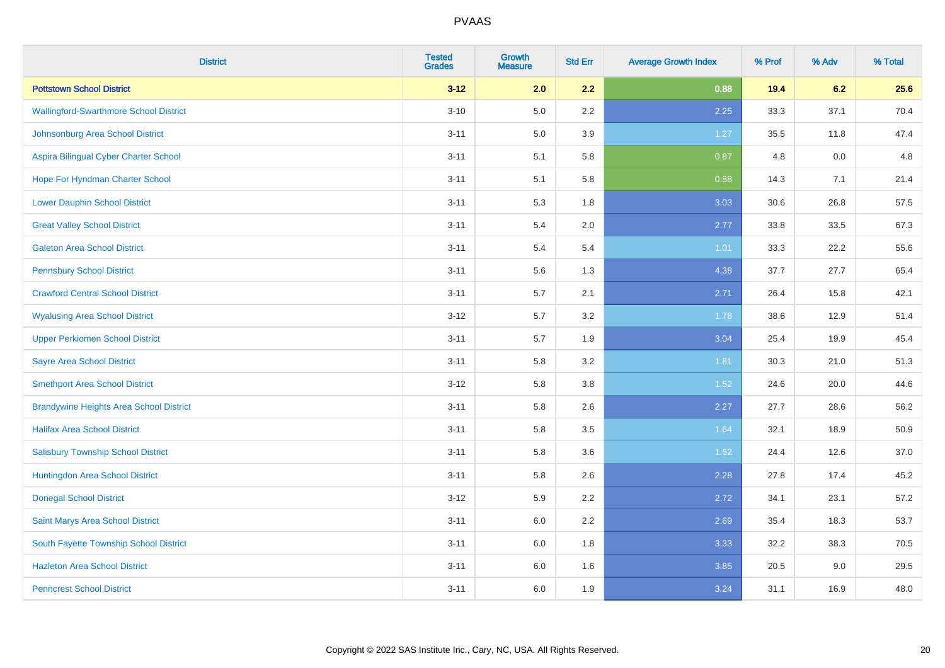| <b>District</b>                                | <b>Tested</b><br><b>Grades</b> | <b>Growth</b><br><b>Measure</b> | <b>Std Err</b> | <b>Average Growth Index</b> | % Prof | % Adv | % Total |
|------------------------------------------------|--------------------------------|---------------------------------|----------------|-----------------------------|--------|-------|---------|
| <b>Pottstown School District</b>               | $3 - 12$                       | 2.0                             | 2.2            | 0.88                        | 19.4   | 6.2   | 25.6    |
| <b>Wallingford-Swarthmore School District</b>  | $3 - 10$                       | 5.0                             | 2.2            | 2.25                        | 33.3   | 37.1  | 70.4    |
| Johnsonburg Area School District               | $3 - 11$                       | 5.0                             | 3.9            | 1.27                        | 35.5   | 11.8  | 47.4    |
| Aspira Bilingual Cyber Charter School          | $3 - 11$                       | 5.1                             | 5.8            | 0.87                        | 4.8    | 0.0   | 4.8     |
| Hope For Hyndman Charter School                | $3 - 11$                       | 5.1                             | 5.8            | 0.88                        | 14.3   | 7.1   | 21.4    |
| <b>Lower Dauphin School District</b>           | $3 - 11$                       | 5.3                             | 1.8            | 3.03                        | 30.6   | 26.8  | 57.5    |
| <b>Great Valley School District</b>            | $3 - 11$                       | 5.4                             | 2.0            | 2.77                        | 33.8   | 33.5  | 67.3    |
| <b>Galeton Area School District</b>            | $3 - 11$                       | 5.4                             | 5.4            | 1.01                        | 33.3   | 22.2  | 55.6    |
| <b>Pennsbury School District</b>               | $3 - 11$                       | 5.6                             | 1.3            | 4.38                        | 37.7   | 27.7  | 65.4    |
| <b>Crawford Central School District</b>        | $3 - 11$                       | 5.7                             | 2.1            | 2.71                        | 26.4   | 15.8  | 42.1    |
| <b>Wyalusing Area School District</b>          | $3 - 12$                       | 5.7                             | 3.2            | 1.78                        | 38.6   | 12.9  | 51.4    |
| <b>Upper Perkiomen School District</b>         | $3 - 11$                       | 5.7                             | 1.9            | 3.04                        | 25.4   | 19.9  | 45.4    |
| <b>Sayre Area School District</b>              | $3 - 11$                       | 5.8                             | 3.2            | 1.81                        | 30.3   | 21.0  | 51.3    |
| <b>Smethport Area School District</b>          | $3 - 12$                       | 5.8                             | 3.8            | 1.52                        | 24.6   | 20.0  | 44.6    |
| <b>Brandywine Heights Area School District</b> | $3 - 11$                       | 5.8                             | 2.6            | 2.27                        | 27.7   | 28.6  | 56.2    |
| <b>Halifax Area School District</b>            | $3 - 11$                       | 5.8                             | 3.5            | 1.64                        | 32.1   | 18.9  | 50.9    |
| <b>Salisbury Township School District</b>      | $3 - 11$                       | 5.8                             | 3.6            | 1.62                        | 24.4   | 12.6  | 37.0    |
| Huntingdon Area School District                | $3 - 11$                       | 5.8                             | 2.6            | 2.28                        | 27.8   | 17.4  | 45.2    |
| <b>Donegal School District</b>                 | $3 - 12$                       | 5.9                             | 2.2            | 2.72                        | 34.1   | 23.1  | 57.2    |
| Saint Marys Area School District               | $3 - 11$                       | $6.0\,$                         | 2.2            | 2.69                        | 35.4   | 18.3  | 53.7    |
| South Fayette Township School District         | $3 - 11$                       | 6.0                             | 1.8            | 3.33                        | 32.2   | 38.3  | 70.5    |
| <b>Hazleton Area School District</b>           | $3 - 11$                       | 6.0                             | 1.6            | 3.85                        | 20.5   | 9.0   | 29.5    |
| <b>Penncrest School District</b>               | $3 - 11$                       | 6.0                             | 1.9            | 3.24                        | 31.1   | 16.9  | 48.0    |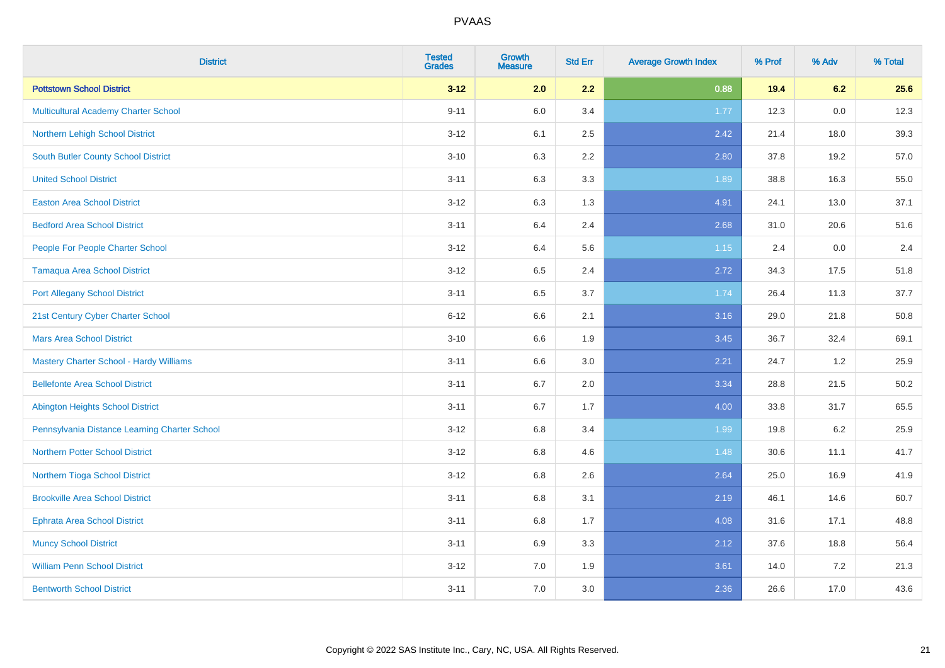| <b>District</b>                                | <b>Tested</b><br><b>Grades</b> | <b>Growth</b><br><b>Measure</b> | <b>Std Err</b> | <b>Average Growth Index</b> | % Prof | % Adv | % Total |
|------------------------------------------------|--------------------------------|---------------------------------|----------------|-----------------------------|--------|-------|---------|
| <b>Pottstown School District</b>               | $3 - 12$                       | 2.0                             | 2.2            | 0.88                        | 19.4   | 6.2   | 25.6    |
| <b>Multicultural Academy Charter School</b>    | $9 - 11$                       | 6.0                             | 3.4            | 1.77                        | 12.3   | 0.0   | 12.3    |
| Northern Lehigh School District                | $3 - 12$                       | 6.1                             | 2.5            | 2.42                        | 21.4   | 18.0  | 39.3    |
| South Butler County School District            | $3 - 10$                       | 6.3                             | 2.2            | 2.80                        | 37.8   | 19.2  | 57.0    |
| <b>United School District</b>                  | $3 - 11$                       | 6.3                             | 3.3            | 1.89                        | 38.8   | 16.3  | 55.0    |
| <b>Easton Area School District</b>             | $3 - 12$                       | 6.3                             | 1.3            | 4.91                        | 24.1   | 13.0  | 37.1    |
| <b>Bedford Area School District</b>            | $3 - 11$                       | 6.4                             | 2.4            | 2.68                        | 31.0   | 20.6  | 51.6    |
| People For People Charter School               | $3 - 12$                       | 6.4                             | 5.6            | 1.15                        | 2.4    | 0.0   | 2.4     |
| <b>Tamaqua Area School District</b>            | $3 - 12$                       | 6.5                             | 2.4            | 2.72                        | 34.3   | 17.5  | 51.8    |
| <b>Port Allegany School District</b>           | $3 - 11$                       | $6.5\,$                         | 3.7            | 1.74                        | 26.4   | 11.3  | 37.7    |
| 21st Century Cyber Charter School              | $6 - 12$                       | 6.6                             | 2.1            | 3.16                        | 29.0   | 21.8  | 50.8    |
| <b>Mars Area School District</b>               | $3 - 10$                       | 6.6                             | 1.9            | 3.45                        | 36.7   | 32.4  | 69.1    |
| <b>Mastery Charter School - Hardy Williams</b> | $3 - 11$                       | 6.6                             | 3.0            | 2.21                        | 24.7   | 1.2   | 25.9    |
| <b>Bellefonte Area School District</b>         | $3 - 11$                       | 6.7                             | 2.0            | 3.34                        | 28.8   | 21.5  | 50.2    |
| <b>Abington Heights School District</b>        | $3 - 11$                       | 6.7                             | 1.7            | 4.00                        | 33.8   | 31.7  | 65.5    |
| Pennsylvania Distance Learning Charter School  | $3 - 12$                       | 6.8                             | 3.4            | 1.99                        | 19.8   | 6.2   | 25.9    |
| <b>Northern Potter School District</b>         | $3 - 12$                       | 6.8                             | 4.6            | 1.48                        | 30.6   | 11.1  | 41.7    |
| Northern Tioga School District                 | $3 - 12$                       | $6.8\,$                         | 2.6            | 2.64                        | 25.0   | 16.9  | 41.9    |
| <b>Brookville Area School District</b>         | $3 - 11$                       | 6.8                             | 3.1            | 2.19                        | 46.1   | 14.6  | 60.7    |
| <b>Ephrata Area School District</b>            | $3 - 11$                       | 6.8                             | 1.7            | 4.08                        | 31.6   | 17.1  | 48.8    |
| <b>Muncy School District</b>                   | $3 - 11$                       | 6.9                             | 3.3            | 2.12                        | 37.6   | 18.8  | 56.4    |
| <b>William Penn School District</b>            | $3 - 12$                       | 7.0                             | 1.9            | 3.61                        | 14.0   | 7.2   | 21.3    |
| <b>Bentworth School District</b>               | $3 - 11$                       | 7.0                             | 3.0            | 2.36                        | 26.6   | 17.0  | 43.6    |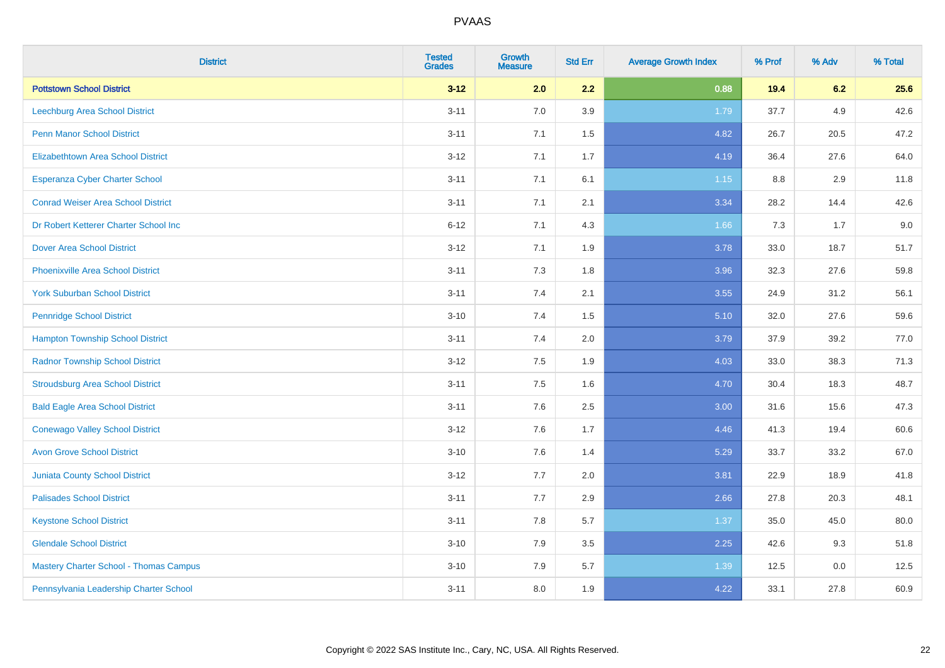| <b>District</b>                               | <b>Tested</b><br><b>Grades</b> | Growth<br><b>Measure</b> | <b>Std Err</b> | <b>Average Growth Index</b> | % Prof | % Adv | % Total |
|-----------------------------------------------|--------------------------------|--------------------------|----------------|-----------------------------|--------|-------|---------|
| <b>Pottstown School District</b>              | $3 - 12$                       | 2.0                      | 2.2            | 0.88                        | 19.4   | 6.2   | 25.6    |
| <b>Leechburg Area School District</b>         | $3 - 11$                       | 7.0                      | 3.9            | 1.79                        | 37.7   | 4.9   | 42.6    |
| <b>Penn Manor School District</b>             | $3 - 11$                       | 7.1                      | 1.5            | 4.82                        | 26.7   | 20.5  | 47.2    |
| <b>Elizabethtown Area School District</b>     | $3 - 12$                       | 7.1                      | 1.7            | 4.19                        | 36.4   | 27.6  | 64.0    |
| <b>Esperanza Cyber Charter School</b>         | $3 - 11$                       | 7.1                      | 6.1            | $1.15$                      | 8.8    | 2.9   | 11.8    |
| <b>Conrad Weiser Area School District</b>     | $3 - 11$                       | 7.1                      | 2.1            | 3.34                        | 28.2   | 14.4  | 42.6    |
| Dr Robert Ketterer Charter School Inc         | $6 - 12$                       | 7.1                      | 4.3            | 1.66                        | 7.3    | 1.7   | 9.0     |
| <b>Dover Area School District</b>             | $3 - 12$                       | 7.1                      | 1.9            | 3.78                        | 33.0   | 18.7  | 51.7    |
| <b>Phoenixville Area School District</b>      | $3 - 11$                       | 7.3                      | 1.8            | 3.96                        | 32.3   | 27.6  | 59.8    |
| <b>York Suburban School District</b>          | $3 - 11$                       | 7.4                      | 2.1            | 3.55                        | 24.9   | 31.2  | 56.1    |
| <b>Pennridge School District</b>              | $3 - 10$                       | 7.4                      | 1.5            | 5.10                        | 32.0   | 27.6  | 59.6    |
| <b>Hampton Township School District</b>       | $3 - 11$                       | 7.4                      | 2.0            | 3.79                        | 37.9   | 39.2  | 77.0    |
| <b>Radnor Township School District</b>        | $3 - 12$                       | 7.5                      | 1.9            | 4.03                        | 33.0   | 38.3  | 71.3    |
| <b>Stroudsburg Area School District</b>       | $3 - 11$                       | 7.5                      | 1.6            | 4.70                        | 30.4   | 18.3  | 48.7    |
| <b>Bald Eagle Area School District</b>        | $3 - 11$                       | 7.6                      | 2.5            | 3.00                        | 31.6   | 15.6  | 47.3    |
| <b>Conewago Valley School District</b>        | $3 - 12$                       | 7.6                      | 1.7            | 4.46                        | 41.3   | 19.4  | 60.6    |
| <b>Avon Grove School District</b>             | $3 - 10$                       | 7.6                      | 1.4            | 5.29                        | 33.7   | 33.2  | 67.0    |
| <b>Juniata County School District</b>         | $3 - 12$                       | 7.7                      | 2.0            | 3.81                        | 22.9   | 18.9  | 41.8    |
| <b>Palisades School District</b>              | $3 - 11$                       | 7.7                      | 2.9            | 2.66                        | 27.8   | 20.3  | 48.1    |
| <b>Keystone School District</b>               | $3 - 11$                       | 7.8                      | 5.7            | 1.37                        | 35.0   | 45.0  | 80.0    |
| <b>Glendale School District</b>               | $3 - 10$                       | 7.9                      | 3.5            | 2.25                        | 42.6   | 9.3   | 51.8    |
| <b>Mastery Charter School - Thomas Campus</b> | $3 - 10$                       | 7.9                      | 5.7            | 1.39                        | 12.5   | 0.0   | 12.5    |
| Pennsylvania Leadership Charter School        | $3 - 11$                       | 8.0                      | 1.9            | 4.22                        | 33.1   | 27.8  | 60.9    |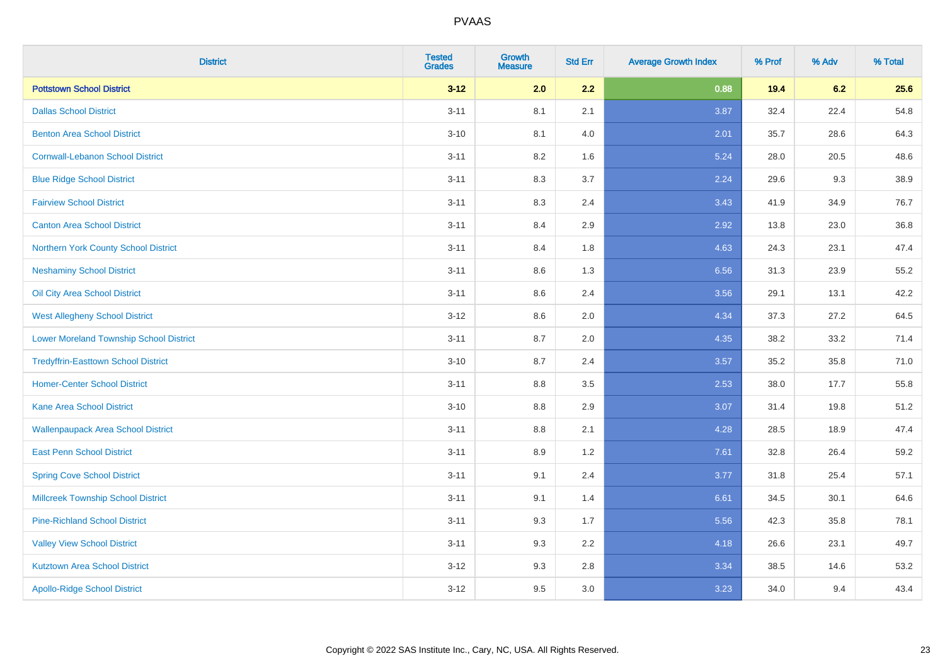| <b>District</b>                                | <b>Tested</b><br><b>Grades</b> | <b>Growth</b><br><b>Measure</b> | <b>Std Err</b> | <b>Average Growth Index</b> | % Prof | % Adv | % Total |
|------------------------------------------------|--------------------------------|---------------------------------|----------------|-----------------------------|--------|-------|---------|
| <b>Pottstown School District</b>               | $3 - 12$                       | 2.0                             | 2.2            | 0.88                        | 19.4   | 6.2   | 25.6    |
| <b>Dallas School District</b>                  | $3 - 11$                       | 8.1                             | 2.1            | 3.87                        | 32.4   | 22.4  | 54.8    |
| <b>Benton Area School District</b>             | $3 - 10$                       | 8.1                             | 4.0            | 2.01                        | 35.7   | 28.6  | 64.3    |
| <b>Cornwall-Lebanon School District</b>        | $3 - 11$                       | 8.2                             | 1.6            | 5.24                        | 28.0   | 20.5  | 48.6    |
| <b>Blue Ridge School District</b>              | $3 - 11$                       | 8.3                             | 3.7            | 2.24                        | 29.6   | 9.3   | 38.9    |
| <b>Fairview School District</b>                | $3 - 11$                       | 8.3                             | 2.4            | 3.43                        | 41.9   | 34.9  | 76.7    |
| <b>Canton Area School District</b>             | $3 - 11$                       | 8.4                             | 2.9            | 2.92                        | 13.8   | 23.0  | 36.8    |
| Northern York County School District           | $3 - 11$                       | 8.4                             | 1.8            | 4.63                        | 24.3   | 23.1  | 47.4    |
| <b>Neshaminy School District</b>               | $3 - 11$                       | 8.6                             | 1.3            | 6.56                        | 31.3   | 23.9  | 55.2    |
| Oil City Area School District                  | $3 - 11$                       | 8.6                             | 2.4            | 3.56                        | 29.1   | 13.1  | 42.2    |
| <b>West Allegheny School District</b>          | $3 - 12$                       | 8.6                             | 2.0            | 4.34                        | 37.3   | 27.2  | 64.5    |
| <b>Lower Moreland Township School District</b> | $3 - 11$                       | 8.7                             | 2.0            | 4.35                        | 38.2   | 33.2  | 71.4    |
| <b>Tredyffrin-Easttown School District</b>     | $3 - 10$                       | 8.7                             | 2.4            | 3.57                        | 35.2   | 35.8  | 71.0    |
| <b>Homer-Center School District</b>            | $3 - 11$                       | 8.8                             | 3.5            | 2.53                        | 38.0   | 17.7  | 55.8    |
| <b>Kane Area School District</b>               | $3 - 10$                       | 8.8                             | 2.9            | 3.07                        | 31.4   | 19.8  | 51.2    |
| <b>Wallenpaupack Area School District</b>      | $3 - 11$                       | $8.8\,$                         | 2.1            | 4.28                        | 28.5   | 18.9  | 47.4    |
| <b>East Penn School District</b>               | $3 - 11$                       | 8.9                             | 1.2            | 7.61                        | 32.8   | 26.4  | 59.2    |
| <b>Spring Cove School District</b>             | $3 - 11$                       | 9.1                             | 2.4            | 3.77                        | 31.8   | 25.4  | 57.1    |
| <b>Millcreek Township School District</b>      | $3 - 11$                       | 9.1                             | 1.4            | 6.61                        | 34.5   | 30.1  | 64.6    |
| <b>Pine-Richland School District</b>           | $3 - 11$                       | 9.3                             | 1.7            | 5.56                        | 42.3   | 35.8  | 78.1    |
| <b>Valley View School District</b>             | $3 - 11$                       | 9.3                             | 2.2            | 4.18                        | 26.6   | 23.1  | 49.7    |
| <b>Kutztown Area School District</b>           | $3 - 12$                       | 9.3                             | 2.8            | 3.34                        | 38.5   | 14.6  | 53.2    |
| <b>Apollo-Ridge School District</b>            | $3 - 12$                       | 9.5                             | 3.0            | 3.23                        | 34.0   | 9.4   | 43.4    |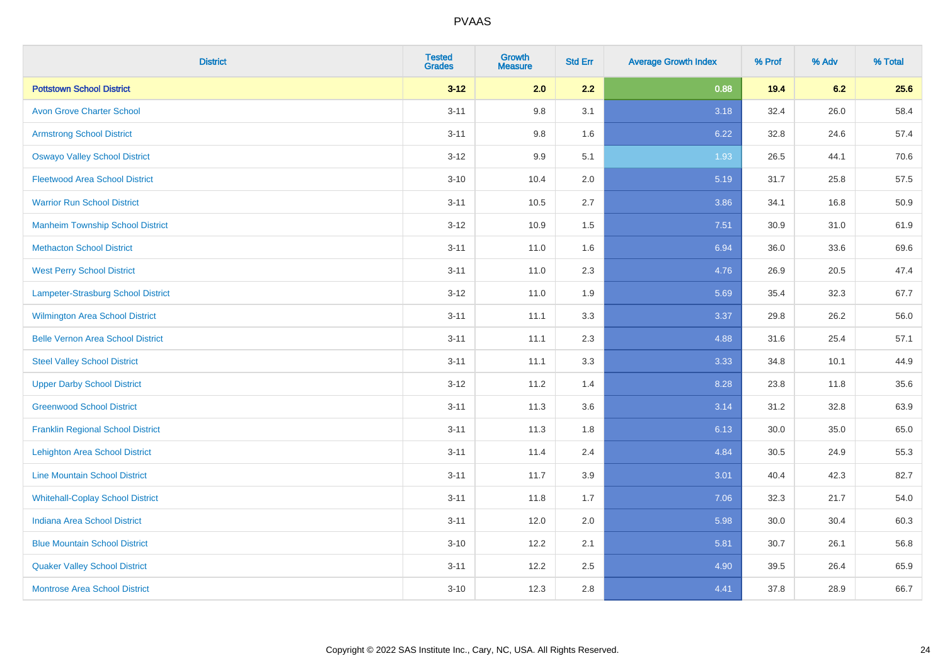| <b>District</b>                          | <b>Tested</b><br><b>Grades</b> | <b>Growth</b><br><b>Measure</b> | <b>Std Err</b> | <b>Average Growth Index</b> | % Prof | % Adv | % Total |
|------------------------------------------|--------------------------------|---------------------------------|----------------|-----------------------------|--------|-------|---------|
| <b>Pottstown School District</b>         | $3 - 12$                       | 2.0                             | 2.2            | 0.88                        | 19.4   | 6.2   | 25.6    |
| <b>Avon Grove Charter School</b>         | $3 - 11$                       | 9.8                             | 3.1            | 3.18                        | 32.4   | 26.0  | 58.4    |
| <b>Armstrong School District</b>         | $3 - 11$                       | 9.8                             | 1.6            | 6.22                        | 32.8   | 24.6  | 57.4    |
| <b>Oswayo Valley School District</b>     | $3 - 12$                       | 9.9                             | 5.1            | 1.93                        | 26.5   | 44.1  | 70.6    |
| <b>Fleetwood Area School District</b>    | $3 - 10$                       | 10.4                            | 2.0            | 5.19                        | 31.7   | 25.8  | 57.5    |
| <b>Warrior Run School District</b>       | $3 - 11$                       | 10.5                            | 2.7            | 3.86                        | 34.1   | 16.8  | 50.9    |
| <b>Manheim Township School District</b>  | $3 - 12$                       | 10.9                            | 1.5            | 7.51                        | 30.9   | 31.0  | 61.9    |
| <b>Methacton School District</b>         | $3 - 11$                       | 11.0                            | 1.6            | 6.94                        | 36.0   | 33.6  | 69.6    |
| <b>West Perry School District</b>        | $3 - 11$                       | 11.0                            | 2.3            | 4.76                        | 26.9   | 20.5  | 47.4    |
| Lampeter-Strasburg School District       | $3 - 12$                       | 11.0                            | 1.9            | 5.69                        | 35.4   | 32.3  | 67.7    |
| Wilmington Area School District          | $3 - 11$                       | 11.1                            | 3.3            | 3.37                        | 29.8   | 26.2  | 56.0    |
| <b>Belle Vernon Area School District</b> | $3 - 11$                       | 11.1                            | 2.3            | 4.88                        | 31.6   | 25.4  | 57.1    |
| <b>Steel Valley School District</b>      | $3 - 11$                       | 11.1                            | 3.3            | 3.33                        | 34.8   | 10.1  | 44.9    |
| <b>Upper Darby School District</b>       | $3-12$                         | 11.2                            | 1.4            | 8.28                        | 23.8   | 11.8  | 35.6    |
| <b>Greenwood School District</b>         | $3 - 11$                       | 11.3                            | 3.6            | 3.14                        | 31.2   | 32.8  | 63.9    |
| <b>Franklin Regional School District</b> | $3 - 11$                       | 11.3                            | 1.8            | 6.13                        | 30.0   | 35.0  | 65.0    |
| <b>Lehighton Area School District</b>    | $3 - 11$                       | 11.4                            | 2.4            | 4.84                        | 30.5   | 24.9  | 55.3    |
| <b>Line Mountain School District</b>     | $3 - 11$                       | 11.7                            | 3.9            | 3.01                        | 40.4   | 42.3  | 82.7    |
| <b>Whitehall-Coplay School District</b>  | $3 - 11$                       | 11.8                            | 1.7            | 7.06                        | 32.3   | 21.7  | 54.0    |
| <b>Indiana Area School District</b>      | $3 - 11$                       | 12.0                            | 2.0            | 5.98                        | 30.0   | 30.4  | 60.3    |
| <b>Blue Mountain School District</b>     | $3 - 10$                       | 12.2                            | 2.1            | 5.81                        | 30.7   | 26.1  | 56.8    |
| <b>Quaker Valley School District</b>     | $3 - 11$                       | 12.2                            | 2.5            | 4.90                        | 39.5   | 26.4  | 65.9    |
| <b>Montrose Area School District</b>     | $3 - 10$                       | 12.3                            | 2.8            | 4.41                        | 37.8   | 28.9  | 66.7    |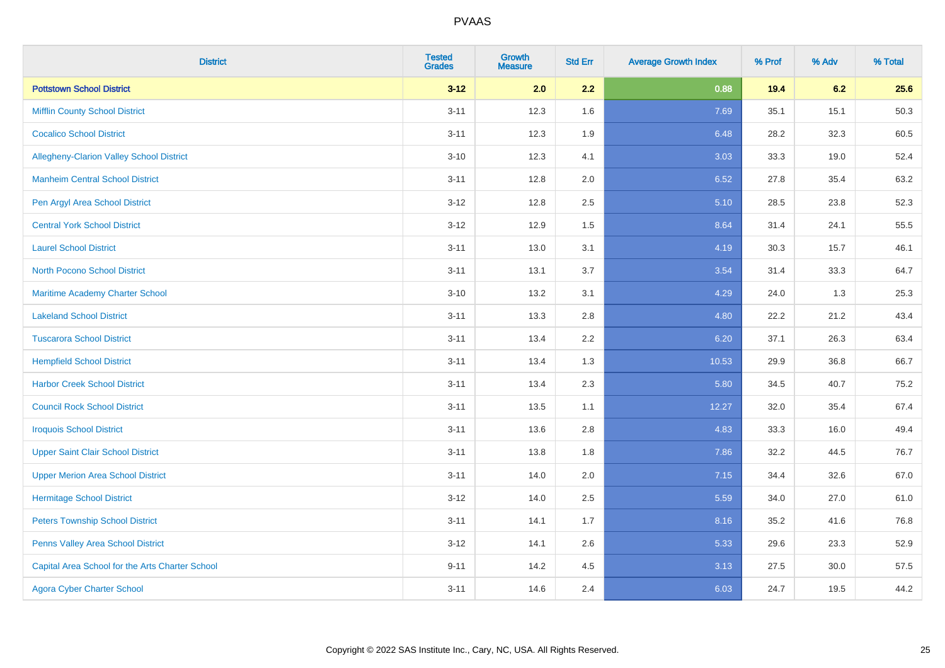| <b>District</b>                                 | <b>Tested</b><br><b>Grades</b> | <b>Growth</b><br><b>Measure</b> | <b>Std Err</b> | <b>Average Growth Index</b> | % Prof | % Adv | % Total |
|-------------------------------------------------|--------------------------------|---------------------------------|----------------|-----------------------------|--------|-------|---------|
| <b>Pottstown School District</b>                | $3 - 12$                       | 2.0                             | 2.2            | 0.88                        | 19.4   | 6.2   | 25.6    |
| <b>Mifflin County School District</b>           | $3 - 11$                       | 12.3                            | 1.6            | 7.69                        | 35.1   | 15.1  | 50.3    |
| <b>Cocalico School District</b>                 | $3 - 11$                       | 12.3                            | 1.9            | 6.48                        | 28.2   | 32.3  | 60.5    |
| Allegheny-Clarion Valley School District        | $3 - 10$                       | 12.3                            | 4.1            | 3.03                        | 33.3   | 19.0  | 52.4    |
| <b>Manheim Central School District</b>          | $3 - 11$                       | 12.8                            | 2.0            | 6.52                        | 27.8   | 35.4  | 63.2    |
| Pen Argyl Area School District                  | $3 - 12$                       | 12.8                            | 2.5            | 5.10                        | 28.5   | 23.8  | 52.3    |
| <b>Central York School District</b>             | $3 - 12$                       | 12.9                            | 1.5            | 8.64                        | 31.4   | 24.1  | 55.5    |
| <b>Laurel School District</b>                   | $3 - 11$                       | 13.0                            | 3.1            | 4.19                        | 30.3   | 15.7  | 46.1    |
| <b>North Pocono School District</b>             | $3 - 11$                       | 13.1                            | 3.7            | 3.54                        | 31.4   | 33.3  | 64.7    |
| Maritime Academy Charter School                 | $3 - 10$                       | 13.2                            | 3.1            | 4.29                        | 24.0   | 1.3   | 25.3    |
| <b>Lakeland School District</b>                 | $3 - 11$                       | 13.3                            | 2.8            | 4.80                        | 22.2   | 21.2  | 43.4    |
| <b>Tuscarora School District</b>                | $3 - 11$                       | 13.4                            | 2.2            | 6.20                        | 37.1   | 26.3  | 63.4    |
| <b>Hempfield School District</b>                | $3 - 11$                       | 13.4                            | 1.3            | 10.53                       | 29.9   | 36.8  | 66.7    |
| <b>Harbor Creek School District</b>             | $3 - 11$                       | 13.4                            | 2.3            | 5.80                        | 34.5   | 40.7  | 75.2    |
| <b>Council Rock School District</b>             | $3 - 11$                       | 13.5                            | 1.1            | 12.27                       | 32.0   | 35.4  | 67.4    |
| <b>Iroquois School District</b>                 | $3 - 11$                       | 13.6                            | 2.8            | 4.83                        | 33.3   | 16.0  | 49.4    |
| <b>Upper Saint Clair School District</b>        | $3 - 11$                       | 13.8                            | 1.8            | 7.86                        | 32.2   | 44.5  | 76.7    |
| <b>Upper Merion Area School District</b>        | $3 - 11$                       | 14.0                            | 2.0            | 7.15                        | 34.4   | 32.6  | 67.0    |
| <b>Hermitage School District</b>                | $3 - 12$                       | 14.0                            | 2.5            | 5.59                        | 34.0   | 27.0  | 61.0    |
| <b>Peters Township School District</b>          | $3 - 11$                       | 14.1                            | 1.7            | 8.16                        | 35.2   | 41.6  | 76.8    |
| Penns Valley Area School District               | $3 - 12$                       | 14.1                            | 2.6            | 5.33                        | 29.6   | 23.3  | 52.9    |
| Capital Area School for the Arts Charter School | $9 - 11$                       | 14.2                            | 4.5            | 3.13                        | 27.5   | 30.0  | 57.5    |
| <b>Agora Cyber Charter School</b>               | $3 - 11$                       | 14.6                            | 2.4            | 6.03                        | 24.7   | 19.5  | 44.2    |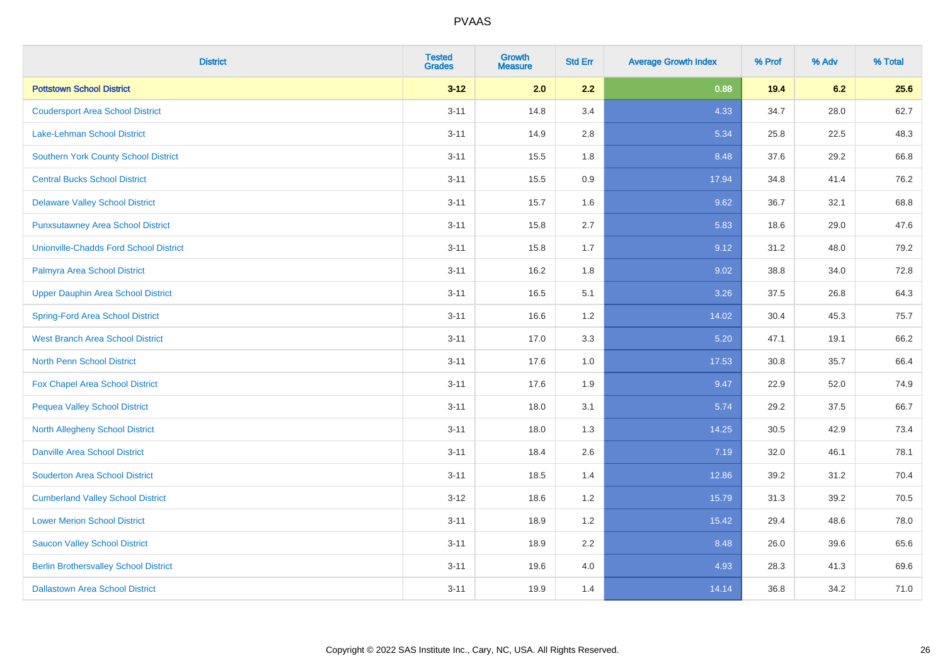| <b>District</b>                               | <b>Tested</b><br><b>Grades</b> | <b>Growth</b><br><b>Measure</b> | <b>Std Err</b> | <b>Average Growth Index</b> | % Prof | % Adv | % Total |
|-----------------------------------------------|--------------------------------|---------------------------------|----------------|-----------------------------|--------|-------|---------|
| <b>Pottstown School District</b>              | $3 - 12$                       | 2.0                             | 2.2            | 0.88                        | 19.4   | 6.2   | 25.6    |
| <b>Coudersport Area School District</b>       | $3 - 11$                       | 14.8                            | 3.4            | 4.33                        | 34.7   | 28.0  | 62.7    |
| Lake-Lehman School District                   | $3 - 11$                       | 14.9                            | 2.8            | 5.34                        | 25.8   | 22.5  | 48.3    |
| <b>Southern York County School District</b>   | $3 - 11$                       | 15.5                            | 1.8            | 8.48                        | 37.6   | 29.2  | 66.8    |
| <b>Central Bucks School District</b>          | $3 - 11$                       | 15.5                            | 0.9            | 17.94                       | 34.8   | 41.4  | 76.2    |
| <b>Delaware Valley School District</b>        | $3 - 11$                       | 15.7                            | 1.6            | 9.62                        | 36.7   | 32.1  | 68.8    |
| <b>Punxsutawney Area School District</b>      | $3 - 11$                       | 15.8                            | 2.7            | 5.83                        | 18.6   | 29.0  | 47.6    |
| <b>Unionville-Chadds Ford School District</b> | $3 - 11$                       | 15.8                            | 1.7            | 9.12                        | 31.2   | 48.0  | 79.2    |
| Palmyra Area School District                  | $3 - 11$                       | 16.2                            | 1.8            | 9.02                        | 38.8   | 34.0  | 72.8    |
| <b>Upper Dauphin Area School District</b>     | $3 - 11$                       | 16.5                            | 5.1            | 3.26                        | 37.5   | 26.8  | 64.3    |
| <b>Spring-Ford Area School District</b>       | $3 - 11$                       | 16.6                            | 1.2            | 14.02                       | 30.4   | 45.3  | 75.7    |
| <b>West Branch Area School District</b>       | $3 - 11$                       | 17.0                            | 3.3            | 5.20                        | 47.1   | 19.1  | 66.2    |
| North Penn School District                    | $3 - 11$                       | 17.6                            | 1.0            | 17.53                       | 30.8   | 35.7  | 66.4    |
| <b>Fox Chapel Area School District</b>        | $3 - 11$                       | 17.6                            | 1.9            | 9.47                        | 22.9   | 52.0  | 74.9    |
| <b>Pequea Valley School District</b>          | $3 - 11$                       | 18.0                            | 3.1            | 5.74                        | 29.2   | 37.5  | 66.7    |
| North Allegheny School District               | $3 - 11$                       | 18.0                            | 1.3            | 14.25                       | 30.5   | 42.9  | 73.4    |
| <b>Danville Area School District</b>          | $3 - 11$                       | 18.4                            | 2.6            | 7.19                        | 32.0   | 46.1  | 78.1    |
| <b>Souderton Area School District</b>         | $3 - 11$                       | 18.5                            | 1.4            | 12.86                       | 39.2   | 31.2  | 70.4    |
| <b>Cumberland Valley School District</b>      | $3 - 12$                       | 18.6                            | 1.2            | 15.79                       | 31.3   | 39.2  | 70.5    |
| <b>Lower Merion School District</b>           | $3 - 11$                       | 18.9                            | 1.2            | 15.42                       | 29.4   | 48.6  | 78.0    |
| <b>Saucon Valley School District</b>          | $3 - 11$                       | 18.9                            | 2.2            | 8.48                        | 26.0   | 39.6  | 65.6    |
| <b>Berlin Brothersvalley School District</b>  | $3 - 11$                       | 19.6                            | 4.0            | 4.93                        | 28.3   | 41.3  | 69.6    |
| <b>Dallastown Area School District</b>        | $3 - 11$                       | 19.9                            | 1.4            | 14.14                       | 36.8   | 34.2  | 71.0    |